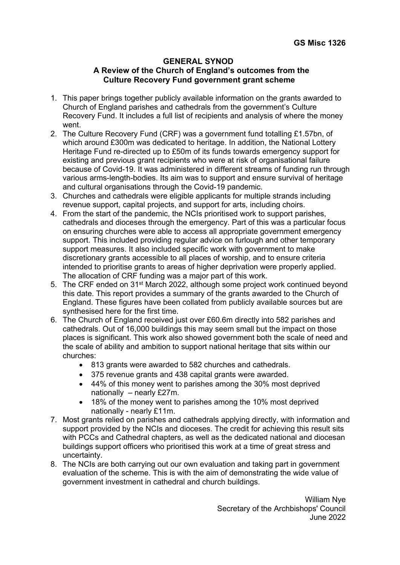#### **GENERAL SYNOD A Review of the Church of England's outcomes from the Culture Recovery Fund government grant scheme**

- 1. This paper brings together publicly available information on the grants awarded to Church of England parishes and cathedrals from the government's Culture Recovery Fund. It includes a full list of recipients and analysis of where the money went.
- 2. The Culture Recovery Fund (CRF) was a government fund totalling £1.57bn, of which around £300m was dedicated to heritage. In addition, the National Lottery Heritage Fund re-directed up to £50m of its funds towards emergency support for existing and previous grant recipients who were at risk of organisational failure because of Covid-19. It was administered in different streams of funding run through various arms-length-bodies. Its aim was to support and ensure survival of heritage and cultural organisations through the Covid-19 pandemic.
- 3. Churches and cathedrals were eligible applicants for multiple strands including revenue support, capital projects, and support for arts, including choirs.
- 4. From the start of the pandemic, the NCIs prioritised work to support parishes, cathedrals and dioceses through the emergency. Part of this was a particular focus on ensuring churches were able to access all appropriate government emergency support. This included providing regular advice on furlough and other temporary support measures. It also included specific work with government to make discretionary grants accessible to all places of worship, and to ensure criteria intended to prioritise grants to areas of higher deprivation were properly applied. The allocation of CRF funding was a major part of this work.
- 5. The CRF ended on 31st March 2022, although some project work continued beyond this date. This report provides a summary of the grants awarded to the Church of England. These figures have been collated from publicly available sources but are synthesised here for the first time.
- 6. The Church of England received just over £60.6m directly into 582 parishes and cathedrals. Out of 16,000 buildings this may seem small but the impact on those places is significant. This work also showed government both the scale of need and the scale of ability and ambition to support national heritage that sits within our churches:
	- 813 grants were awarded to 582 churches and cathedrals.
	- 375 revenue grants and 438 capital grants were awarded.
	- 44% of this money went to parishes among the 30% most deprived nationally – nearly £27m.
	- 18% of the money went to parishes among the 10% most deprived nationally - nearly £11m.
- 7. Most grants relied on parishes and cathedrals applying directly, with information and support provided by the NCIs and dioceses. The credit for achieving this result sits with PCCs and Cathedral chapters, as well as the dedicated national and diocesan buildings support officers who prioritised this work at a time of great stress and uncertainty.
- 8. The NCIs are both carrying out our own evaluation and taking part in government evaluation of the scheme. This is with the aim of demonstrating the wide value of government investment in cathedral and church buildings.

William Nye Secretary of the Archbishops' Council June 2022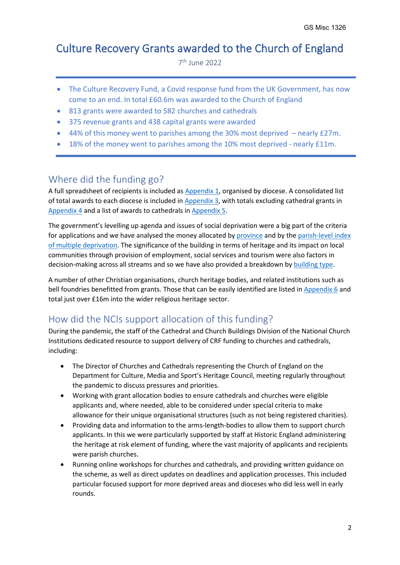# Culture Recovery Grants awarded to the Church of England

7<sup>th</sup> June 2022

- The Culture Recovery Fund, a Covid response fund from the UK Government, has now come to an end. In total £60.6m was awarded to the Church of England
- 813 grants were awarded to 582 churches and cathedrals
- 375 revenue grants and 438 capital grants were awarded
- 44% of this money went to parishes among the 30% most deprived nearly £27m.
- 18% of the money went to parishes among the 10% most deprived nearly £11m.

### Where did the funding go?

A full spreadsheet of recipients is included as Appendix 1, organised by diocese. A consolidated list of total awards to each diocese is included in [Appendix 3,](#page-43-0) with totals excluding cathedral grants in [Appendix 4](#page-45-0) and a list of awards to cathedrals i[n Appendix 5.](#page-45-1)

The government's levelling up agenda and issues of social deprivation were a big part of the criteria for applications and we have analysed the money allocated by [province](#page-4-0) and by the parish-level index [of multiple deprivation.](#page-4-1) The significance of the building in terms of heritage and its impact on local communities through provision of employment, social services and tourism were also factors in decision-making across all streams and so we have also provided a breakdown by [building type.](#page-4-2)

A number of other Christian organisations, church heritage bodies, and related institutions such as bell foundries benefitted from grants. Those that can be easily identified are listed i[n Appendix 6](#page-49-0) and total just over £16m into the wider religious heritage sector.

### How did the NCIs support allocation of this funding?

During the pandemic, the staff of the Cathedral and Church Buildings Division of the National Church Institutions dedicated resource to support delivery of CRF funding to churches and cathedrals, including:

- The Director of Churches and Cathedrals representing the Church of England on the Department for Culture, Media and Sport's Heritage Council, meeting regularly throughout the pandemic to discuss pressures and priorities.
- Working with grant allocation bodies to ensure cathedrals and churches were eligible applicants and, where needed, able to be considered under special criteria to make allowance for their unique organisational structures (such as not being registered charities).
- Providing data and information to the arms-length-bodies to allow them to support church applicants. In this we were particularly supported by staff at Historic England administering the heritage at risk element of funding, where the vast majority of applicants and recipients were parish churches.
- Running online workshops for churches and cathedrals, and providing written guidance on the scheme, as well as direct updates on deadlines and application processes. This included particular focused support for more deprived areas and dioceses who did less well in early rounds.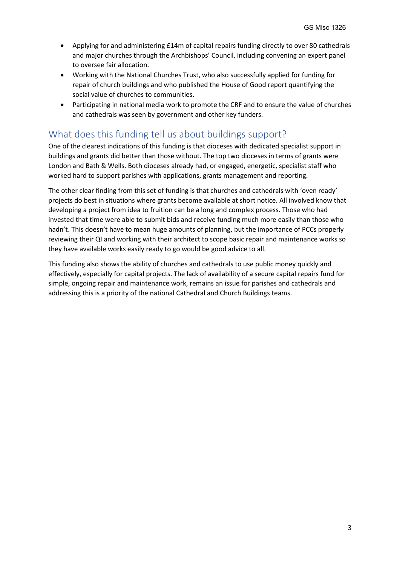- Applying for and administering £14m of capital repairs funding directly to over 80 cathedrals and major churches through the Archbishops' Council, including convening an expert panel to oversee fair allocation.
- Working with the National Churches Trust, who also successfully applied for funding for repair of church buildings and who published the House of Good report quantifying the social value of churches to communities.
- Participating in national media work to promote the CRF and to ensure the value of churches and cathedrals was seen by government and other key funders.

### What does this funding tell us about buildings support?

One of the clearest indications of this funding is that dioceses with dedicated specialist support in buildings and grants did better than those without. The top two dioceses in terms of grants were London and Bath & Wells. Both dioceses already had, or engaged, energetic, specialist staff who worked hard to support parishes with applications, grants management and reporting.

The other clear finding from this set of funding is that churches and cathedrals with 'oven ready' projects do best in situations where grants become available at short notice. All involved know that developing a project from idea to fruition can be a long and complex process. Those who had invested that time were able to submit bids and receive funding much more easily than those who hadn't. This doesn't have to mean huge amounts of planning, but the importance of PCCs properly reviewing their QI and working with their architect to scope basic repair and maintenance works so they have available works easily ready to go would be good advice to all.

This funding also shows the ability of churches and cathedrals to use public money quickly and effectively, especially for capital projects. The lack of availability of a secure capital repairs fund for simple, ongoing repair and maintenance work, remains an issue for parishes and cathedrals and addressing this is a priority of the national Cathedral and Church Buildings teams.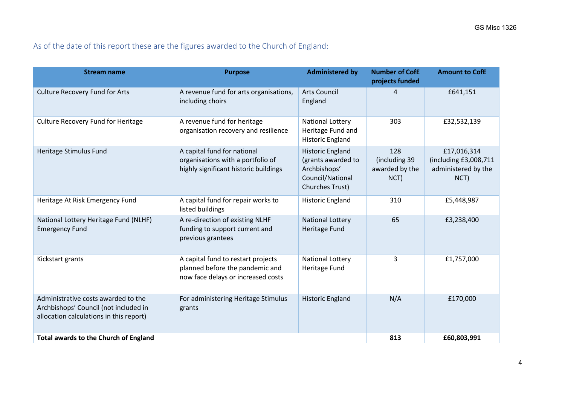### As of the date of this report these are the figures awarded to the Church of England:

| <b>Stream name</b>                                                                                                      | <b>Purpose</b>                                                                                              | <b>Administered by</b>                                                                               | <b>Number of CofE</b><br>projects funded       | <b>Amount to CofE</b>                                               |
|-------------------------------------------------------------------------------------------------------------------------|-------------------------------------------------------------------------------------------------------------|------------------------------------------------------------------------------------------------------|------------------------------------------------|---------------------------------------------------------------------|
| <b>Culture Recovery Fund for Arts</b>                                                                                   | A revenue fund for arts organisations,<br>including choirs                                                  | <b>Arts Council</b><br>England                                                                       | 4                                              | £641,151                                                            |
| <b>Culture Recovery Fund for Heritage</b>                                                                               | A revenue fund for heritage<br>organisation recovery and resilience                                         | <b>National Lottery</b><br>Heritage Fund and<br><b>Historic England</b>                              | 303                                            | £32,532,139                                                         |
| Heritage Stimulus Fund                                                                                                  | A capital fund for national<br>organisations with a portfolio of<br>highly significant historic buildings   | <b>Historic England</b><br>(grants awarded to<br>Archbishops'<br>Council/National<br>Churches Trust) | 128<br>(including 39<br>awarded by the<br>NCT) | £17,016,314<br>(including £3,008,711<br>administered by the<br>NCT) |
| Heritage At Risk Emergency Fund                                                                                         | A capital fund for repair works to<br>listed buildings                                                      | <b>Historic England</b>                                                                              | 310                                            | £5,448,987                                                          |
| National Lottery Heritage Fund (NLHF)<br><b>Emergency Fund</b>                                                          | A re-direction of existing NLHF<br>funding to support current and<br>previous grantees                      | <b>National Lottery</b><br><b>Heritage Fund</b>                                                      | 65                                             | £3,238,400                                                          |
| Kickstart grants                                                                                                        | A capital fund to restart projects<br>planned before the pandemic and<br>now face delays or increased costs | <b>National Lottery</b><br>Heritage Fund                                                             | 3                                              | £1,757,000                                                          |
| Administrative costs awarded to the<br>Archbishops' Council (not included in<br>allocation calculations in this report) | For administering Heritage Stimulus<br>grants                                                               | <b>Historic England</b>                                                                              | N/A                                            | £170,000                                                            |
| <b>Total awards to the Church of England</b>                                                                            |                                                                                                             |                                                                                                      | 813                                            | £60,803,991                                                         |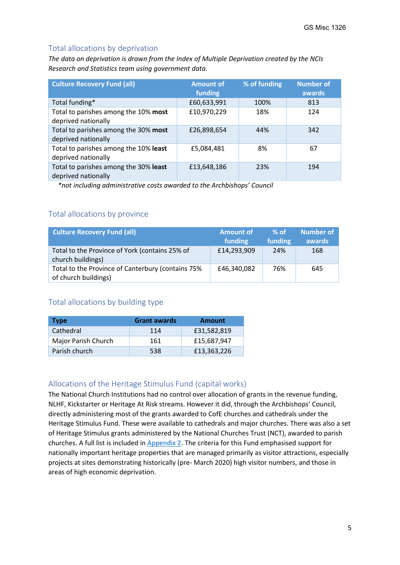#### <span id="page-4-1"></span>Total allocations by deprivation

*The data on deprivation is drawn from the Index of Multiple Deprivation created by the NCIs Research and Statistics team using government data.*

| <b>Culture Recovery Fund (all)</b>                           | <b>Amount of</b><br>funding | % of funding | <b>Number of</b><br>awards |
|--------------------------------------------------------------|-----------------------------|--------------|----------------------------|
| Total funding*                                               | £60,633,991                 | 100%         | 813                        |
| Total to parishes among the 10% most<br>deprived nationally  | £10,970,229                 | 18%          | 124                        |
| Total to parishes among the 30% most<br>deprived nationally  | £26,898,654                 | 44%          | 342                        |
| Total to parishes among the 10% least<br>deprived nationally | £5,084,481                  | 8%           | 67                         |
| Total to parishes among the 30% least<br>deprived nationally | £13,648,186                 | 23%          | 194                        |

*\*not including administrative costs awarded to the Archbishops' Council*

#### <span id="page-4-0"></span>Total allocations by province

| <b>Culture Recovery Fund (all)</b>                                        | <b>Amount of</b><br>funding | $%$ of<br>funding | Number of<br>awards |
|---------------------------------------------------------------------------|-----------------------------|-------------------|---------------------|
| Total to the Province of York (contains 25% of<br>church buildings)       | £14,293,909                 | 24%               | 168                 |
| Total to the Province of Canterbury (contains 75%<br>of church buildings) | £46,340,082                 | 76%               | 645                 |

#### <span id="page-4-2"></span>Total allocations by building type

| <b>Type</b>         | <b>Grant awards</b> | <b>Amount</b> |
|---------------------|---------------------|---------------|
| Cathedral           | 114                 | £31,582,819   |
| Major Parish Church | 161                 | £15.687.947   |
| Parish church       | 538                 | £13,363,226   |

#### Allocations of the Heritage Stimulus Fund (capital works)

The National Church Institutions had no control over allocation of grants in the revenue funding, NLHF, Kickstarter or Heritage At Risk streams. However it did, through the Archbishops' Council, directly administering most of the grants awarded to CofE churches and cathedrals under the Heritage Stimulus Fund. These were available to cathedrals and major churches. There was also a set of Heritage Stimulus grants administered by the National Churches Trust (NCT), awarded to parish churches. A full list is included in [Appendix 2.](#page-38-0) The criteria for this Fund emphasised support for nationally important heritage properties that are managed primarily as visitor attractions, especially projects at sites demonstrating historically (pre- March 2020) high visitor numbers, and those in areas of high economic deprivation.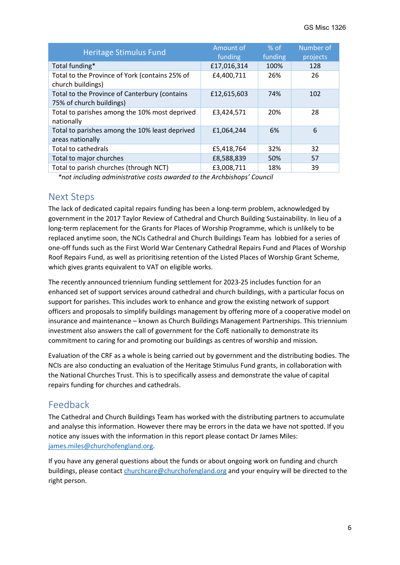| <b>Heritage Stimulus Fund</b>                                             | Amount of<br>funding | $%$ of<br>funding | Number of<br>projects |
|---------------------------------------------------------------------------|----------------------|-------------------|-----------------------|
| Total funding*                                                            | £17,016,314          | 100%              | 128                   |
| Total to the Province of York (contains 25% of<br>church buildings)       | £4,400,711           | 26%               | 26                    |
| Total to the Province of Canterbury (contains<br>75% of church buildings) | £12,615,603          | 74%               | 102                   |
| Total to parishes among the 10% most deprived<br>nationally               | £3,424,571           | 20%               | 28                    |
| Total to parishes among the 10% least deprived<br>areas nationally        | £1,064,244           | 6%                | 6                     |
| Total to cathedrals                                                       | £5,418,764           | 32%               | 32                    |
| Total to major churches                                                   | £8,588,839           | 50%               | 57                    |
| Total to parish churches (through NCT)                                    | £3,008,711           | 18%               | 39                    |

*\*not including administrative costs awarded to the Archbishops' Council*

#### Next Steps

The lack of dedicated capital repairs funding has been a long-term problem, acknowledged by government in the 2017 Taylor Review of Cathedral and Church Building Sustainability. In lieu of a long-term replacement for the Grants for Places of Worship Programme, which is unlikely to be replaced anytime soon, the NCIs Cathedral and Church Buildings Team has lobbied for a series of one-off funds such as the First World War Centenary Cathedral Repairs Fund and Places of Worship Roof Repairs Fund, as well as prioritising retention of the Listed Places of Worship Grant Scheme, which gives grants equivalent to VAT on eligible works.

The recently announced triennium funding settlement for 2023-25 includes function for an enhanced set of support services around cathedral and church buildings, with a particular focus on support for parishes. This includes work to enhance and grow the existing network of support officers and proposals to simplify buildings management by offering more of a cooperative model on insurance and maintenance – known as Church Buildings Management Partnerships. This triennium investment also answers the call of government for the CofE nationally to demonstrate its commitment to caring for and promoting our buildings as centres of worship and mission.

Evaluation of the CRF as a whole is being carried out by government and the distributing bodies. The NCIs are also conducting an evaluation of the Heritage Stimulus Fund grants, in collaboration with the National Churches Trust. This is to specifically assess and demonstrate the value of capital repairs funding for churches and cathedrals.

### Feedback

The Cathedral and Church Buildings Team has worked with the distributing partners to accumulate and analyse this information. However there may be errors in the data we have not spotted. If you notice any issues with the information in this report please contact Dr James Miles: [james.miles@churchofengland.org.](mailto:james.miles@churchofengland.org)

If you have any general questions about the funds or about ongoing work on funding and church buildings, please contac[t churchcare@churchofengland.org](mailto:churchcare@churchofengland.org) and your enquiry will be directed to the right person.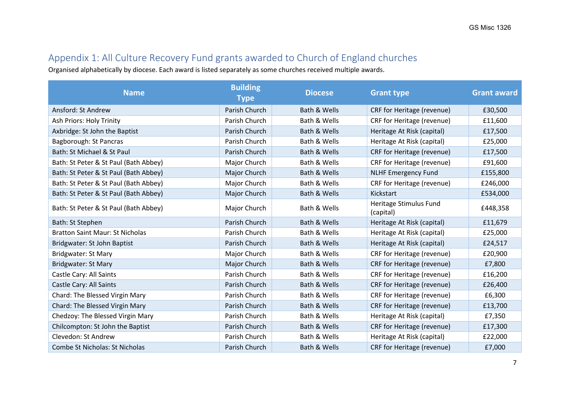## Appendix 1: All Culture Recovery Fund grants awarded to Church of England churches

Organised alphabetically by diocese. Each award is listed separately as some churches received multiple awards.

| <b>Name</b>                            | <b>Building</b><br><b>Type</b> | <b>Diocese</b> | <b>Grant type</b>                   | <b>Grant award</b> |
|----------------------------------------|--------------------------------|----------------|-------------------------------------|--------------------|
| Ansford: St Andrew                     | Parish Church                  | Bath & Wells   | <b>CRF</b> for Heritage (revenue)   | £30,500            |
| Ash Priors: Holy Trinity               | Parish Church                  | Bath & Wells   | CRF for Heritage (revenue)          | £11,600            |
| Axbridge: St John the Baptist          | Parish Church                  | Bath & Wells   | Heritage At Risk (capital)          | £17,500            |
| Bagborough: St Pancras                 | Parish Church                  | Bath & Wells   | Heritage At Risk (capital)          | £25,000            |
| Bath: St Michael & St Paul             | Parish Church                  | Bath & Wells   | CRF for Heritage (revenue)          | £17,500            |
| Bath: St Peter & St Paul (Bath Abbey)  | Major Church                   | Bath & Wells   | CRF for Heritage (revenue)          | £91,600            |
| Bath: St Peter & St Paul (Bath Abbey)  | Major Church                   | Bath & Wells   | <b>NLHF Emergency Fund</b>          | £155,800           |
| Bath: St Peter & St Paul (Bath Abbey)  | Major Church                   | Bath & Wells   | CRF for Heritage (revenue)          | £246,000           |
| Bath: St Peter & St Paul (Bath Abbey)  | Major Church                   | Bath & Wells   | Kickstart                           | £534,000           |
| Bath: St Peter & St Paul (Bath Abbey)  | Major Church                   | Bath & Wells   | Heritage Stimulus Fund<br>(capital) | £448,358           |
| Bath: St Stephen                       | Parish Church                  | Bath & Wells   | Heritage At Risk (capital)          | £11,679            |
| <b>Bratton Saint Maur: St Nicholas</b> | Parish Church                  | Bath & Wells   | Heritage At Risk (capital)          | £25,000            |
| Bridgwater: St John Baptist            | Parish Church                  | Bath & Wells   | Heritage At Risk (capital)          | £24,517            |
| <b>Bridgwater: St Mary</b>             | Major Church                   | Bath & Wells   | CRF for Heritage (revenue)          | £20,900            |
| <b>Bridgwater: St Mary</b>             | Major Church                   | Bath & Wells   | CRF for Heritage (revenue)          | £7,800             |
| Castle Cary: All Saints                | Parish Church                  | Bath & Wells   | CRF for Heritage (revenue)          | £16,200            |
| Castle Cary: All Saints                | Parish Church                  | Bath & Wells   | CRF for Heritage (revenue)          | £26,400            |
| Chard: The Blessed Virgin Mary         | Parish Church                  | Bath & Wells   | CRF for Heritage (revenue)          | £6,300             |
| Chard: The Blessed Virgin Mary         | Parish Church                  | Bath & Wells   | CRF for Heritage (revenue)          | £13,700            |
| Chedzoy: The Blessed Virgin Mary       | Parish Church                  | Bath & Wells   | Heritage At Risk (capital)          | £7,350             |
| Chilcompton: St John the Baptist       | Parish Church                  | Bath & Wells   | CRF for Heritage (revenue)          | £17,300            |
| Clevedon: St Andrew                    | Parish Church                  | Bath & Wells   | Heritage At Risk (capital)          | £22,000            |
| <b>Combe St Nicholas: St Nicholas</b>  | Parish Church                  | Bath & Wells   | <b>CRF for Heritage (revenue)</b>   | £7,000             |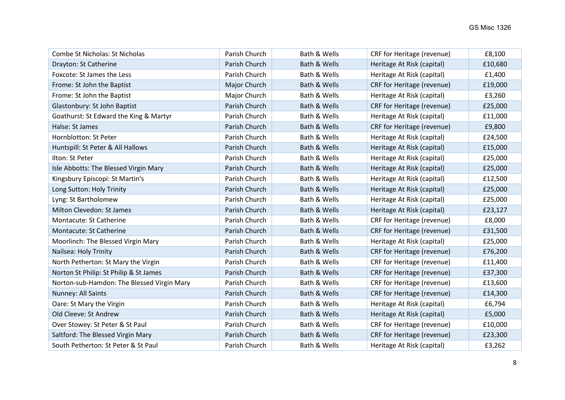| Combe St Nicholas: St Nicholas             | Parish Church | Bath & Wells | CRF for Heritage (revenue)        | £8,100  |
|--------------------------------------------|---------------|--------------|-----------------------------------|---------|
| Drayton: St Catherine                      | Parish Church | Bath & Wells | Heritage At Risk (capital)        | £10,680 |
| Foxcote: St James the Less                 | Parish Church | Bath & Wells | Heritage At Risk (capital)        | £1,400  |
| Frome: St John the Baptist                 | Major Church  | Bath & Wells | CRF for Heritage (revenue)        | £19,000 |
| Frome: St John the Baptist                 | Major Church  | Bath & Wells | Heritage At Risk (capital)        | £3,260  |
| Glastonbury: St John Baptist               | Parish Church | Bath & Wells | CRF for Heritage (revenue)        | £25,000 |
| Goathurst: St Edward the King & Martyr     | Parish Church | Bath & Wells | Heritage At Risk (capital)        | £11,000 |
| Halse: St James                            | Parish Church | Bath & Wells | CRF for Heritage (revenue)        | £9,800  |
| Hornblotton: St Peter                      | Parish Church | Bath & Wells | Heritage At Risk (capital)        | £24,500 |
| Huntspill: St Peter & All Hallows          | Parish Church | Bath & Wells | Heritage At Risk (capital)        | £15,000 |
| Ilton: St Peter                            | Parish Church | Bath & Wells | Heritage At Risk (capital)        | £25,000 |
| Isle Abbotts: The Blessed Virgin Mary      | Parish Church | Bath & Wells | Heritage At Risk (capital)        | £25,000 |
| Kingsbury Episcopi: St Martin's            | Parish Church | Bath & Wells | Heritage At Risk (capital)        | £12,500 |
| Long Sutton: Holy Trinity                  | Parish Church | Bath & Wells | Heritage At Risk (capital)        | £25,000 |
| Lyng: St Bartholomew                       | Parish Church | Bath & Wells | Heritage At Risk (capital)        | £25,000 |
| Milton Clevedon: St James                  | Parish Church | Bath & Wells | Heritage At Risk (capital)        | £23,127 |
| Montacute: St Catherine                    | Parish Church | Bath & Wells | CRF for Heritage (revenue)        | £8,000  |
| Montacute: St Catherine                    | Parish Church | Bath & Wells | CRF for Heritage (revenue)        | £31,500 |
| Moorlinch: The Blessed Virgin Mary         | Parish Church | Bath & Wells | Heritage At Risk (capital)        | £25,000 |
| Nailsea: Holy Trinity                      | Parish Church | Bath & Wells | CRF for Heritage (revenue)        | £76,200 |
| North Petherton: St Mary the Virgin        | Parish Church | Bath & Wells | CRF for Heritage (revenue)        | £11,400 |
| Norton St Philip: St Philip & St James     | Parish Church | Bath & Wells | CRF for Heritage (revenue)        | £37,300 |
| Norton-sub-Hamdon: The Blessed Virgin Mary | Parish Church | Bath & Wells | CRF for Heritage (revenue)        | £13,600 |
| Nunney: All Saints                         | Parish Church | Bath & Wells | CRF for Heritage (revenue)        | £14,300 |
| Oare: St Mary the Virgin                   | Parish Church | Bath & Wells | Heritage At Risk (capital)        | £6,794  |
| Old Cleeve: St Andrew                      | Parish Church | Bath & Wells | Heritage At Risk (capital)        | £5,000  |
| Over Stowey: St Peter & St Paul            | Parish Church | Bath & Wells | CRF for Heritage (revenue)        | £10,000 |
| Saltford: The Blessed Virgin Mary          | Parish Church | Bath & Wells | <b>CRF for Heritage (revenue)</b> | £23,300 |
| South Petherton: St Peter & St Paul        | Parish Church | Bath & Wells | Heritage At Risk (capital)        | £3,262  |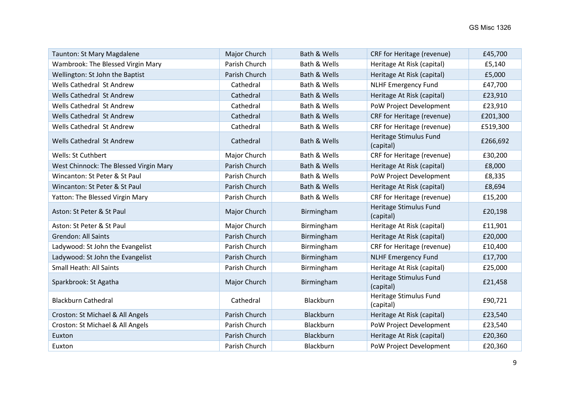| Taunton: St Mary Magdalene             | Major Church  | Bath & Wells | CRF for Heritage (revenue)          | £45,700  |
|----------------------------------------|---------------|--------------|-------------------------------------|----------|
| Wambrook: The Blessed Virgin Mary      | Parish Church | Bath & Wells | Heritage At Risk (capital)          | £5,140   |
| Wellington: St John the Baptist        | Parish Church | Bath & Wells | Heritage At Risk (capital)          | £5,000   |
| Wells Cathedral St Andrew              | Cathedral     | Bath & Wells | <b>NLHF Emergency Fund</b>          | £47,700  |
| Wells Cathedral St Andrew              | Cathedral     | Bath & Wells | Heritage At Risk (capital)          | £23,910  |
| Wells Cathedral St Andrew              | Cathedral     | Bath & Wells | PoW Project Development             | £23,910  |
| Wells Cathedral St Andrew              | Cathedral     | Bath & Wells | CRF for Heritage (revenue)          | £201,300 |
| Wells Cathedral St Andrew              | Cathedral     | Bath & Wells | CRF for Heritage (revenue)          | £519,300 |
| Wells Cathedral St Andrew              | Cathedral     | Bath & Wells | Heritage Stimulus Fund<br>(capital) | £266,692 |
| Wells: St Cuthbert                     | Major Church  | Bath & Wells | CRF for Heritage (revenue)          | £30,200  |
| West Chinnock: The Blessed Virgin Mary | Parish Church | Bath & Wells | Heritage At Risk (capital)          | £8,000   |
| Wincanton: St Peter & St Paul          | Parish Church | Bath & Wells | PoW Project Development             | £8,335   |
| Wincanton: St Peter & St Paul          | Parish Church | Bath & Wells | Heritage At Risk (capital)          | £8,694   |
| Yatton: The Blessed Virgin Mary        | Parish Church | Bath & Wells | CRF for Heritage (revenue)          | £15,200  |
| Aston: St Peter & St Paul              | Major Church  | Birmingham   | Heritage Stimulus Fund<br>(capital) | £20,198  |
| Aston: St Peter & St Paul              | Major Church  | Birmingham   | Heritage At Risk (capital)          | £11,901  |
| <b>Grendon: All Saints</b>             | Parish Church | Birmingham   | Heritage At Risk (capital)          | £20,000  |
| Ladywood: St John the Evangelist       | Parish Church | Birmingham   | CRF for Heritage (revenue)          | £10,400  |
| Ladywood: St John the Evangelist       | Parish Church | Birmingham   | <b>NLHF Emergency Fund</b>          | £17,700  |
| Small Heath: All Saints                | Parish Church | Birmingham   | Heritage At Risk (capital)          | £25,000  |
| Sparkbrook: St Agatha                  | Major Church  | Birmingham   | Heritage Stimulus Fund<br>(capital) | £21,458  |
| <b>Blackburn Cathedral</b>             | Cathedral     | Blackburn    | Heritage Stimulus Fund<br>(capital) | £90,721  |
| Croston: St Michael & All Angels       | Parish Church | Blackburn    | Heritage At Risk (capital)          | £23,540  |
| Croston: St Michael & All Angels       | Parish Church | Blackburn    | PoW Project Development             | £23,540  |
| Euxton                                 | Parish Church | Blackburn    | Heritage At Risk (capital)          | £20,360  |
| Euxton                                 | Parish Church | Blackburn    | PoW Project Development             | £20,360  |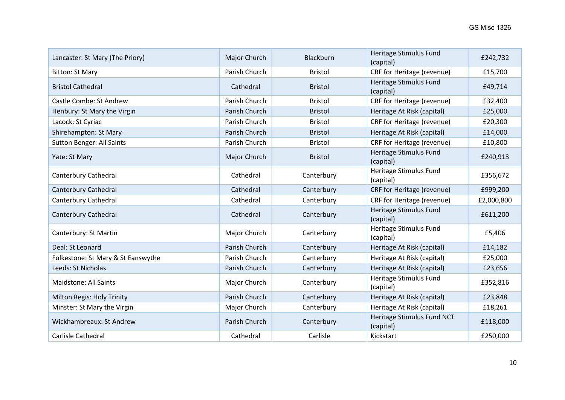| Lancaster: St Mary (The Priory)    | Major Church  | Blackburn      | Heritage Stimulus Fund<br>(capital)     | £242,732   |
|------------------------------------|---------------|----------------|-----------------------------------------|------------|
| <b>Bitton: St Mary</b>             | Parish Church | <b>Bristol</b> | CRF for Heritage (revenue)              | £15,700    |
| <b>Bristol Cathedral</b>           | Cathedral     | <b>Bristol</b> | Heritage Stimulus Fund<br>(capital)     | £49,714    |
| Castle Combe: St Andrew            | Parish Church | <b>Bristol</b> | CRF for Heritage (revenue)              | £32,400    |
| Henbury: St Mary the Virgin        | Parish Church | <b>Bristol</b> | Heritage At Risk (capital)              | £25,000    |
| Lacock: St Cyriac                  | Parish Church | <b>Bristol</b> | CRF for Heritage (revenue)              | £20,300    |
| Shirehampton: St Mary              | Parish Church | <b>Bristol</b> | Heritage At Risk (capital)              | £14,000    |
| <b>Sutton Benger: All Saints</b>   | Parish Church | <b>Bristol</b> | CRF for Heritage (revenue)              | £10,800    |
| Yate: St Mary                      | Major Church  | <b>Bristol</b> | Heritage Stimulus Fund<br>(capital)     | £240,913   |
| Canterbury Cathedral               | Cathedral     | Canterbury     | Heritage Stimulus Fund<br>(capital)     | £356,672   |
| Canterbury Cathedral               | Cathedral     | Canterbury     | CRF for Heritage (revenue)              | £999,200   |
| Canterbury Cathedral               | Cathedral     | Canterbury     | CRF for Heritage (revenue)              | £2,000,800 |
| Canterbury Cathedral               | Cathedral     | Canterbury     | Heritage Stimulus Fund<br>(capital)     | £611,200   |
| Canterbury: St Martin              | Major Church  | Canterbury     | Heritage Stimulus Fund<br>(capital)     | £5,406     |
| Deal: St Leonard                   | Parish Church | Canterbury     | Heritage At Risk (capital)              | £14,182    |
| Folkestone: St Mary & St Eanswythe | Parish Church | Canterbury     | Heritage At Risk (capital)              | £25,000    |
| Leeds: St Nicholas                 | Parish Church | Canterbury     | Heritage At Risk (capital)              | £23,656    |
| <b>Maidstone: All Saints</b>       | Major Church  | Canterbury     | Heritage Stimulus Fund<br>(capital)     | £352,816   |
| Milton Regis: Holy Trinity         | Parish Church | Canterbury     | Heritage At Risk (capital)              | £23,848    |
| Minster: St Mary the Virgin        | Major Church  | Canterbury     | Heritage At Risk (capital)              | £18,261    |
| Wickhambreaux: St Andrew           | Parish Church | Canterbury     | Heritage Stimulus Fund NCT<br>(capital) | £118,000   |
| Carlisle Cathedral                 | Cathedral     | Carlisle       | Kickstart                               | £250,000   |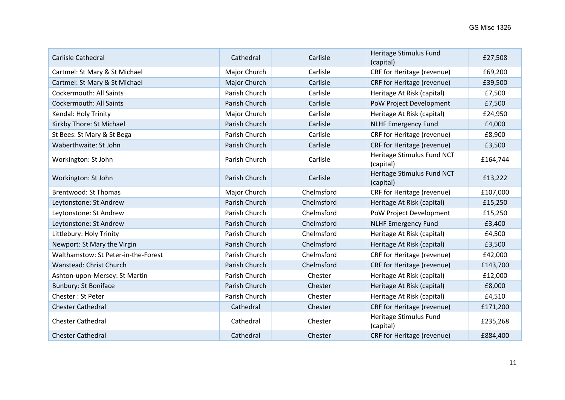| Carlisle Cathedral                  | Cathedral     | Carlisle   | Heritage Stimulus Fund<br>(capital)     | £27,508  |
|-------------------------------------|---------------|------------|-----------------------------------------|----------|
| Cartmel: St Mary & St Michael       | Major Church  | Carlisle   | CRF for Heritage (revenue)              | £69,200  |
| Cartmel: St Mary & St Michael       | Major Church  | Carlisle   | CRF for Heritage (revenue)              | £39,500  |
| <b>Cockermouth: All Saints</b>      | Parish Church | Carlisle   | Heritage At Risk (capital)              | £7,500   |
| <b>Cockermouth: All Saints</b>      | Parish Church | Carlisle   | PoW Project Development                 | £7,500   |
| Kendal: Holy Trinity                | Major Church  | Carlisle   | Heritage At Risk (capital)              | £24,950  |
| Kirkby Thore: St Michael            | Parish Church | Carlisle   | <b>NLHF Emergency Fund</b>              | £4,000   |
| St Bees: St Mary & St Bega          | Parish Church | Carlisle   | CRF for Heritage (revenue)              | £8,900   |
| Waberthwaite: St John               | Parish Church | Carlisle   | CRF for Heritage (revenue)              | £3,500   |
| Workington: St John                 | Parish Church | Carlisle   | Heritage Stimulus Fund NCT<br>(capital) | £164,744 |
| Workington: St John                 | Parish Church | Carlisle   | Heritage Stimulus Fund NCT<br>(capital) | £13,222  |
| <b>Brentwood: St Thomas</b>         | Major Church  | Chelmsford | CRF for Heritage (revenue)              | £107,000 |
| Leytonstone: St Andrew              | Parish Church | Chelmsford | Heritage At Risk (capital)              | £15,250  |
| Leytonstone: St Andrew              | Parish Church | Chelmsford | PoW Project Development                 | £15,250  |
| Leytonstone: St Andrew              | Parish Church | Chelmsford | <b>NLHF Emergency Fund</b>              | £3,400   |
| Littlebury: Holy Trinity            | Parish Church | Chelmsford | Heritage At Risk (capital)              | £4,500   |
| Newport: St Mary the Virgin         | Parish Church | Chelmsford | Heritage At Risk (capital)              | £3,500   |
| Walthamstow: St Peter-in-the-Forest | Parish Church | Chelmsford | CRF for Heritage (revenue)              | £42,000  |
| Wanstead: Christ Church             | Parish Church | Chelmsford | CRF for Heritage (revenue)              | £143,700 |
| Ashton-upon-Mersey: St Martin       | Parish Church | Chester    | Heritage At Risk (capital)              | £12,000  |
| <b>Bunbury: St Boniface</b>         | Parish Church | Chester    | Heritage At Risk (capital)              | £8,000   |
| Chester: St Peter                   | Parish Church | Chester    | Heritage At Risk (capital)              | £4,510   |
| <b>Chester Cathedral</b>            | Cathedral     | Chester    | CRF for Heritage (revenue)              | £171,200 |
| <b>Chester Cathedral</b>            | Cathedral     | Chester    | Heritage Stimulus Fund<br>(capital)     | £235,268 |
| <b>Chester Cathedral</b>            | Cathedral     | Chester    | CRF for Heritage (revenue)              | £884,400 |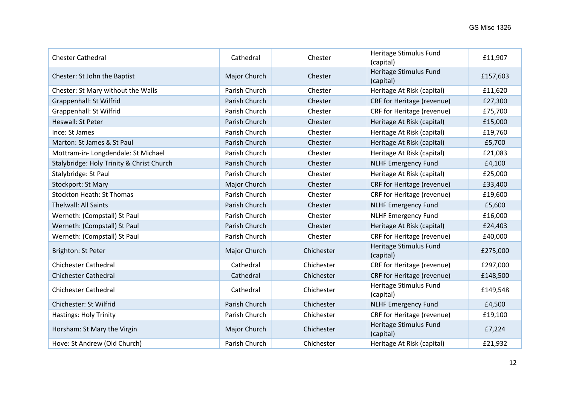| <b>Chester Cathedral</b>                  | Cathedral     | Chester    | Heritage Stimulus Fund<br>(capital) | £11,907  |
|-------------------------------------------|---------------|------------|-------------------------------------|----------|
| Chester: St John the Baptist              | Major Church  | Chester    | Heritage Stimulus Fund<br>(capital) | £157,603 |
| Chester: St Mary without the Walls        | Parish Church | Chester    | Heritage At Risk (capital)          | £11,620  |
| Grappenhall: St Wilfrid                   | Parish Church | Chester    | CRF for Heritage (revenue)          | £27,300  |
| Grappenhall: St Wilfrid                   | Parish Church | Chester    | CRF for Heritage (revenue)          | £75,700  |
| Heswall: St Peter                         | Parish Church | Chester    | Heritage At Risk (capital)          | £15,000  |
| Ince: St James                            | Parish Church | Chester    | Heritage At Risk (capital)          | £19,760  |
| Marton: St James & St Paul                | Parish Church | Chester    | Heritage At Risk (capital)          | £5,700   |
| Mottram-in-Longdendale: St Michael        | Parish Church | Chester    | Heritage At Risk (capital)          | £21,083  |
| Stalybridge: Holy Trinity & Christ Church | Parish Church | Chester    | <b>NLHF Emergency Fund</b>          | £4,100   |
| Stalybridge: St Paul                      | Parish Church | Chester    | Heritage At Risk (capital)          | £25,000  |
| Stockport: St Mary                        | Major Church  | Chester    | CRF for Heritage (revenue)          | £33,400  |
| <b>Stockton Heath: St Thomas</b>          | Parish Church | Chester    | CRF for Heritage (revenue)          | £19,600  |
| Thelwall: All Saints                      | Parish Church | Chester    | <b>NLHF Emergency Fund</b>          | £5,600   |
| Werneth: (Compstall) St Paul              | Parish Church | Chester    | <b>NLHF Emergency Fund</b>          | £16,000  |
| Werneth: (Compstall) St Paul              | Parish Church | Chester    | Heritage At Risk (capital)          | £24,403  |
| Werneth: (Compstall) St Paul              | Parish Church | Chester    | CRF for Heritage (revenue)          | £40,000  |
| Brighton: St Peter                        | Major Church  | Chichester | Heritage Stimulus Fund<br>(capital) | £275,000 |
| <b>Chichester Cathedral</b>               | Cathedral     | Chichester | CRF for Heritage (revenue)          | £297,000 |
| <b>Chichester Cathedral</b>               | Cathedral     | Chichester | CRF for Heritage (revenue)          | £148,500 |
| <b>Chichester Cathedral</b>               | Cathedral     | Chichester | Heritage Stimulus Fund<br>(capital) | £149,548 |
| Chichester: St Wilfrid                    | Parish Church | Chichester | <b>NLHF Emergency Fund</b>          | £4,500   |
| Hastings: Holy Trinity                    | Parish Church | Chichester | CRF for Heritage (revenue)          | £19,100  |
| Horsham: St Mary the Virgin               | Major Church  | Chichester | Heritage Stimulus Fund<br>(capital) | £7,224   |
| Hove: St Andrew (Old Church)              | Parish Church | Chichester | Heritage At Risk (capital)          | £21,932  |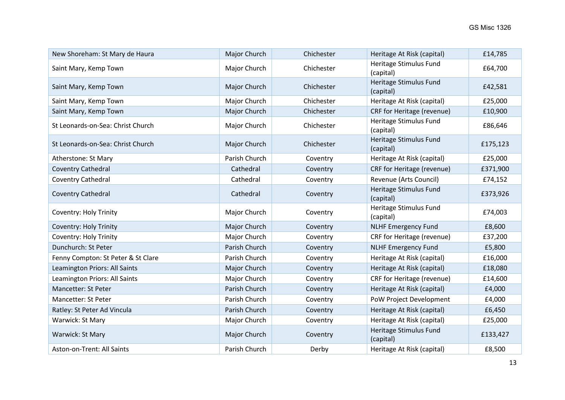| New Shoreham: St Mary de Haura     | Major Church  | Chichester | Heritage At Risk (capital)          | £14,785  |
|------------------------------------|---------------|------------|-------------------------------------|----------|
| Saint Mary, Kemp Town              | Major Church  | Chichester | Heritage Stimulus Fund<br>(capital) | £64,700  |
| Saint Mary, Kemp Town              | Major Church  | Chichester | Heritage Stimulus Fund<br>(capital) | £42,581  |
| Saint Mary, Kemp Town              | Major Church  | Chichester | Heritage At Risk (capital)          | £25,000  |
| Saint Mary, Kemp Town              | Major Church  | Chichester | CRF for Heritage (revenue)          | £10,900  |
| St Leonards-on-Sea: Christ Church  | Major Church  | Chichester | Heritage Stimulus Fund<br>(capital) | £86,646  |
| St Leonards-on-Sea: Christ Church  | Major Church  | Chichester | Heritage Stimulus Fund<br>(capital) | £175,123 |
| Atherstone: St Mary                | Parish Church | Coventry   | Heritage At Risk (capital)          | £25,000  |
| <b>Coventry Cathedral</b>          | Cathedral     | Coventry   | CRF for Heritage (revenue)          | £371,900 |
| Coventry Cathedral                 | Cathedral     | Coventry   | Revenue (Arts Council)              | £74,152  |
| Coventry Cathedral                 | Cathedral     | Coventry   | Heritage Stimulus Fund<br>(capital) | £373,926 |
| Coventry: Holy Trinity             | Major Church  | Coventry   | Heritage Stimulus Fund<br>(capital) | £74,003  |
| <b>Coventry: Holy Trinity</b>      | Major Church  | Coventry   | <b>NLHF Emergency Fund</b>          | £8,600   |
| <b>Coventry: Holy Trinity</b>      | Major Church  | Coventry   | CRF for Heritage (revenue)          | £37,200  |
| Dunchurch: St Peter                | Parish Church | Coventry   | <b>NLHF Emergency Fund</b>          | £5,800   |
| Fenny Compton: St Peter & St Clare | Parish Church | Coventry   | Heritage At Risk (capital)          | £16,000  |
| Leamington Priors: All Saints      | Major Church  | Coventry   | Heritage At Risk (capital)          | £18,080  |
| Leamington Priors: All Saints      | Major Church  | Coventry   | CRF for Heritage (revenue)          | £14,600  |
| Mancetter: St Peter                | Parish Church | Coventry   | Heritage At Risk (capital)          | £4,000   |
| <b>Mancetter: St Peter</b>         | Parish Church | Coventry   | PoW Project Development             | £4,000   |
| Ratley: St Peter Ad Vincula        | Parish Church | Coventry   | Heritage At Risk (capital)          | £6,450   |
| Warwick: St Mary                   | Major Church  | Coventry   | Heritage At Risk (capital)          | £25,000  |
| Warwick: St Mary                   | Major Church  | Coventry   | Heritage Stimulus Fund<br>(capital) | £133,427 |
| Aston-on-Trent: All Saints         | Parish Church | Derby      | Heritage At Risk (capital)          | £8,500   |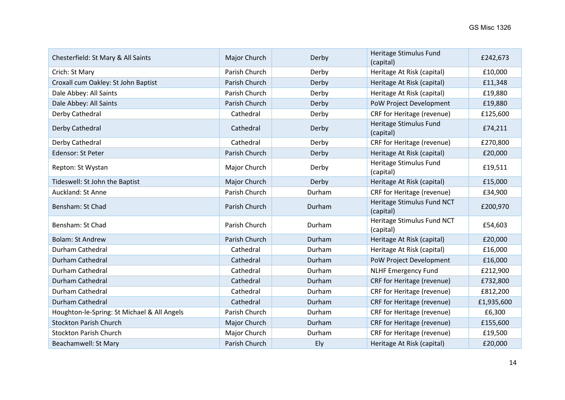| Chesterfield: St Mary & All Saints          | Major Church  | Derby  | Heritage Stimulus Fund<br>(capital)     | £242,673   |
|---------------------------------------------|---------------|--------|-----------------------------------------|------------|
| Crich: St Mary                              | Parish Church | Derby  | Heritage At Risk (capital)              | £10,000    |
| Croxall cum Oakley: St John Baptist         | Parish Church | Derby  | Heritage At Risk (capital)              | £11,348    |
| Dale Abbey: All Saints                      | Parish Church | Derby  | Heritage At Risk (capital)              | £19,880    |
| Dale Abbey: All Saints                      | Parish Church | Derby  | PoW Project Development                 | £19,880    |
| Derby Cathedral                             | Cathedral     | Derby  | CRF for Heritage (revenue)              | £125,600   |
| Derby Cathedral                             | Cathedral     | Derby  | Heritage Stimulus Fund<br>(capital)     | £74,211    |
| Derby Cathedral                             | Cathedral     | Derby  | CRF for Heritage (revenue)              | £270,800   |
| Edensor: St Peter                           | Parish Church | Derby  | Heritage At Risk (capital)              | £20,000    |
| Repton: St Wystan                           | Major Church  | Derby  | Heritage Stimulus Fund<br>(capital)     | £19,511    |
| Tideswell: St John the Baptist              | Major Church  | Derby  | Heritage At Risk (capital)              | £15,000    |
| Auckland: St Anne                           | Parish Church | Durham | CRF for Heritage (revenue)              | £34,900    |
| Bensham: St Chad                            | Parish Church | Durham | Heritage Stimulus Fund NCT<br>(capital) | £200,970   |
| Bensham: St Chad                            | Parish Church | Durham | Heritage Stimulus Fund NCT<br>(capital) | £54,603    |
| <b>Bolam: St Andrew</b>                     | Parish Church | Durham | Heritage At Risk (capital)              | £20,000    |
| Durham Cathedral                            | Cathedral     | Durham | Heritage At Risk (capital)              | £16,000    |
| Durham Cathedral                            | Cathedral     | Durham | PoW Project Development                 | £16,000    |
| Durham Cathedral                            | Cathedral     | Durham | <b>NLHF Emergency Fund</b>              | £212,900   |
| Durham Cathedral                            | Cathedral     | Durham | CRF for Heritage (revenue)              | £732,800   |
| Durham Cathedral                            | Cathedral     | Durham | CRF for Heritage (revenue)              | £812,200   |
| Durham Cathedral                            | Cathedral     | Durham | CRF for Heritage (revenue)              | £1,935,600 |
| Houghton-le-Spring: St Michael & All Angels | Parish Church | Durham | CRF for Heritage (revenue)              | £6,300     |
| <b>Stockton Parish Church</b>               | Major Church  | Durham | CRF for Heritage (revenue)              | £155,600   |
| <b>Stockton Parish Church</b>               | Major Church  | Durham | CRF for Heritage (revenue)              | £19,500    |
| Beachamwell: St Mary                        | Parish Church | Ely    | Heritage At Risk (capital)              | £20,000    |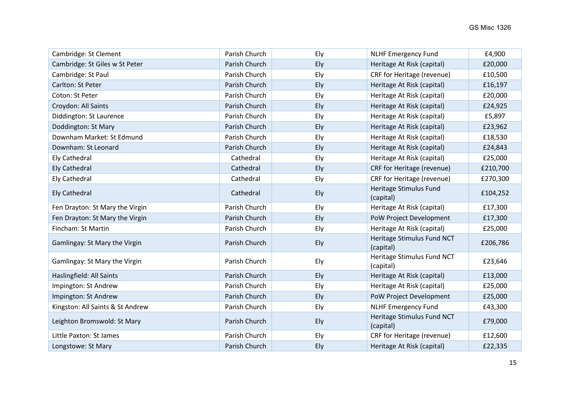| Cambridge: St Clement            | Parish Church | Ely | <b>NLHF Emergency Fund</b>              | £4,900   |
|----------------------------------|---------------|-----|-----------------------------------------|----------|
| Cambridge: St Giles w St Peter   | Parish Church | Ely | Heritage At Risk (capital)              | £20,000  |
| Cambridge: St Paul               | Parish Church | Ely | CRF for Heritage (revenue)              | £10,500  |
| Carlton: St Peter                | Parish Church | Ely | Heritage At Risk (capital)              | £16,197  |
| Coton: St Peter                  | Parish Church | Ely | Heritage At Risk (capital)              | £20,000  |
| Croydon: All Saints              | Parish Church | Ely | Heritage At Risk (capital)              | £24,925  |
| Diddington: St Laurence          | Parish Church | Ely | Heritage At Risk (capital)              | £5,897   |
| Doddington: St Mary              | Parish Church | Ely | Heritage At Risk (capital)              | £23,962  |
| Downham Market: St Edmund        | Parish Church | Ely | Heritage At Risk (capital)              | £18,530  |
| Downham: St Leonard              | Parish Church | Ely | Heritage At Risk (capital)              | £24,843  |
| <b>Ely Cathedral</b>             | Cathedral     | Ely | Heritage At Risk (capital)              | £25,000  |
| <b>Ely Cathedral</b>             | Cathedral     | Ely | CRF for Heritage (revenue)              | £210,700 |
| <b>Ely Cathedral</b>             | Cathedral     | Ely | CRF for Heritage (revenue)              | £270,300 |
| <b>Ely Cathedral</b>             | Cathedral     | Ely | Heritage Stimulus Fund<br>(capital)     | £104,252 |
| Fen Drayton: St Mary the Virgin  | Parish Church | Ely | Heritage At Risk (capital)              | £17,300  |
| Fen Drayton: St Mary the Virgin  | Parish Church | Ely | PoW Project Development                 | £17,300  |
| Fincham: St Martin               | Parish Church | Ely | Heritage At Risk (capital)              | £25,000  |
| Gamlingay: St Mary the Virgin    | Parish Church | Ely | Heritage Stimulus Fund NCT<br>(capital) | £206,786 |
| Gamlingay: St Mary the Virgin    | Parish Church | Ely | Heritage Stimulus Fund NCT<br>(capital) | £23,646  |
| Haslingfield: All Saints         | Parish Church | Ely | Heritage At Risk (capital)              | £13,000  |
| Impington: St Andrew             | Parish Church | Ely | Heritage At Risk (capital)              | £25,000  |
| Impington: St Andrew             | Parish Church | Ely | PoW Project Development                 | £25,000  |
| Kingston: All Saints & St Andrew | Parish Church | Ely | <b>NLHF Emergency Fund</b>              | £43,300  |
| Leighton Bromswold: St Mary      | Parish Church | Ely | Heritage Stimulus Fund NCT<br>(capital) | £79,000  |
| Little Paxton: St James          | Parish Church | Ely | CRF for Heritage (revenue)              | £12,600  |
| Longstowe: St Mary               | Parish Church | Ely | Heritage At Risk (capital)              | £22,335  |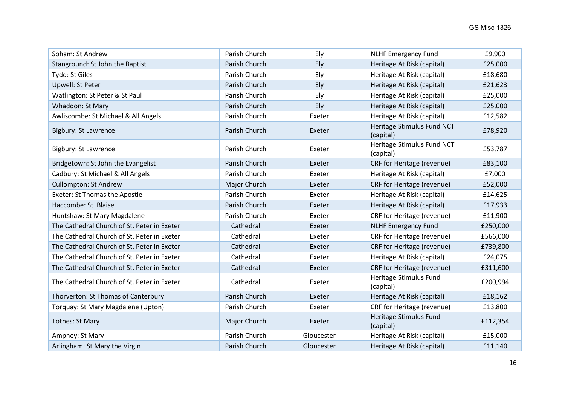| Soham: St Andrew                            | Parish Church | Ely        | <b>NLHF Emergency Fund</b>              | £9,900   |
|---------------------------------------------|---------------|------------|-----------------------------------------|----------|
| Stanground: St John the Baptist             | Parish Church | Ely        | Heritage At Risk (capital)              | £25,000  |
| Tydd: St Giles                              | Parish Church | Ely        | Heritage At Risk (capital)              | £18,680  |
| Upwell: St Peter                            | Parish Church | Ely        | Heritage At Risk (capital)              | £21,623  |
| Watlington: St Peter & St Paul              | Parish Church | Ely        | Heritage At Risk (capital)              | £25,000  |
| Whaddon: St Mary                            | Parish Church | Ely        | Heritage At Risk (capital)              | £25,000  |
| Awliscombe: St Michael & All Angels         | Parish Church | Exeter     | Heritage At Risk (capital)              | £12,582  |
| <b>Bigbury: St Lawrence</b>                 | Parish Church | Exeter     | Heritage Stimulus Fund NCT<br>(capital) | £78,920  |
| <b>Bigbury: St Lawrence</b>                 | Parish Church | Exeter     | Heritage Stimulus Fund NCT<br>(capital) | £53,787  |
| Bridgetown: St John the Evangelist          | Parish Church | Exeter     | CRF for Heritage (revenue)              | £83,100  |
| Cadbury: St Michael & All Angels            | Parish Church | Exeter     | Heritage At Risk (capital)              | £7,000   |
| <b>Cullompton: St Andrew</b>                | Major Church  | Exeter     | CRF for Heritage (revenue)              | £52,000  |
| <b>Exeter: St Thomas the Apostle</b>        | Parish Church | Exeter     | Heritage At Risk (capital)              | £14,625  |
| Haccombe: St Blaise                         | Parish Church | Exeter     | Heritage At Risk (capital)              | £17,933  |
| Huntshaw: St Mary Magdalene                 | Parish Church | Exeter     | CRF for Heritage (revenue)              | £11,900  |
| The Cathedral Church of St. Peter in Exeter | Cathedral     | Exeter     | <b>NLHF Emergency Fund</b>              | £250,000 |
| The Cathedral Church of St. Peter in Exeter | Cathedral     | Exeter     | CRF for Heritage (revenue)              | £566,000 |
| The Cathedral Church of St. Peter in Exeter | Cathedral     | Exeter     | CRF for Heritage (revenue)              | £739,800 |
| The Cathedral Church of St. Peter in Exeter | Cathedral     | Exeter     | Heritage At Risk (capital)              | £24,075  |
| The Cathedral Church of St. Peter in Exeter | Cathedral     | Exeter     | CRF for Heritage (revenue)              | £311,600 |
| The Cathedral Church of St. Peter in Exeter | Cathedral     | Exeter     | Heritage Stimulus Fund<br>(capital)     | £200,994 |
| Thorverton: St Thomas of Canterbury         | Parish Church | Exeter     | Heritage At Risk (capital)              | £18,162  |
| Torquay: St Mary Magdalene (Upton)          | Parish Church | Exeter     | CRF for Heritage (revenue)              | £13,800  |
| <b>Totnes: St Mary</b>                      | Major Church  | Exeter     | Heritage Stimulus Fund<br>(capital)     | £112,354 |
| Ampney: St Mary                             | Parish Church | Gloucester | Heritage At Risk (capital)              | £15,000  |
| Arlingham: St Mary the Virgin               | Parish Church | Gloucester | Heritage At Risk (capital)              | £11,140  |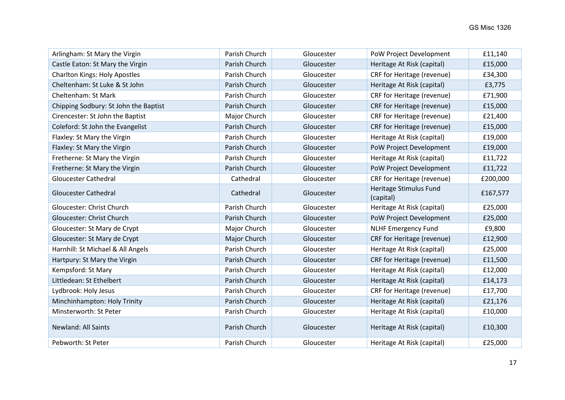| Arlingham: St Mary the Virgin         | Parish Church | Gloucester | PoW Project Development             | £11,140  |
|---------------------------------------|---------------|------------|-------------------------------------|----------|
| Castle Eaton: St Mary the Virgin      | Parish Church | Gloucester | Heritage At Risk (capital)          | £15,000  |
| <b>Charlton Kings: Holy Apostles</b>  | Parish Church | Gloucester | CRF for Heritage (revenue)          | £34,300  |
| Cheltenham: St Luke & St John         | Parish Church | Gloucester | Heritage At Risk (capital)          | £3,775   |
| Cheltenham: St Mark                   | Parish Church | Gloucester | CRF for Heritage (revenue)          | £71,900  |
| Chipping Sodbury: St John the Baptist | Parish Church | Gloucester | CRF for Heritage (revenue)          | £15,000  |
| Cirencester: St John the Baptist      | Major Church  | Gloucester | CRF for Heritage (revenue)          | £21,400  |
| Coleford: St John the Evangelist      | Parish Church | Gloucester | CRF for Heritage (revenue)          | £15,000  |
| Flaxley: St Mary the Virgin           | Parish Church | Gloucester | Heritage At Risk (capital)          | £19,000  |
| Flaxley: St Mary the Virgin           | Parish Church | Gloucester | PoW Project Development             | £19,000  |
| Fretherne: St Mary the Virgin         | Parish Church | Gloucester | Heritage At Risk (capital)          | £11,722  |
| Fretherne: St Mary the Virgin         | Parish Church | Gloucester | PoW Project Development             | £11,722  |
| <b>Gloucester Cathedral</b>           | Cathedral     | Gloucester | CRF for Heritage (revenue)          | £200,000 |
| <b>Gloucester Cathedral</b>           | Cathedral     | Gloucester | Heritage Stimulus Fund<br>(capital) | £167,577 |
| Gloucester: Christ Church             | Parish Church | Gloucester | Heritage At Risk (capital)          | £25,000  |
| Gloucester: Christ Church             | Parish Church | Gloucester | PoW Project Development             | £25,000  |
| Gloucester: St Mary de Crypt          | Major Church  | Gloucester | <b>NLHF Emergency Fund</b>          | £9,800   |
| Gloucester: St Mary de Crypt          | Major Church  | Gloucester | CRF for Heritage (revenue)          | £12,900  |
| Harnhill: St Michael & All Angels     | Parish Church | Gloucester | Heritage At Risk (capital)          | £25,000  |
| Hartpury: St Mary the Virgin          | Parish Church | Gloucester | CRF for Heritage (revenue)          | £11,500  |
| Kempsford: St Mary                    | Parish Church | Gloucester | Heritage At Risk (capital)          | £12,000  |
| Littledean: St Ethelbert              | Parish Church | Gloucester | Heritage At Risk (capital)          | £14,173  |
| Lydbrook: Holy Jesus                  | Parish Church | Gloucester | CRF for Heritage (revenue)          | £17,700  |
| Minchinhampton: Holy Trinity          | Parish Church | Gloucester | Heritage At Risk (capital)          | £21,176  |
| Minsterworth: St Peter                | Parish Church | Gloucester | Heritage At Risk (capital)          | £10,000  |
| <b>Newland: All Saints</b>            | Parish Church | Gloucester | Heritage At Risk (capital)          | £10,300  |
| Pebworth: St Peter                    | Parish Church | Gloucester | Heritage At Risk (capital)          | £25,000  |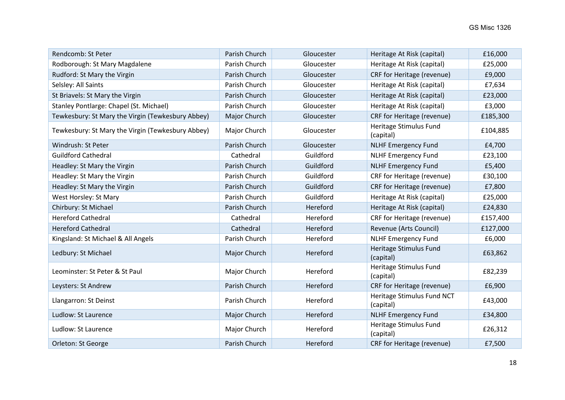| Rendcomb: St Peter                                | Parish Church | Gloucester | Heritage At Risk (capital)              | £16,000  |
|---------------------------------------------------|---------------|------------|-----------------------------------------|----------|
| Rodborough: St Mary Magdalene                     | Parish Church | Gloucester | Heritage At Risk (capital)              | £25,000  |
| Rudford: St Mary the Virgin                       | Parish Church | Gloucester | CRF for Heritage (revenue)              | £9,000   |
| Selsley: All Saints                               | Parish Church | Gloucester | Heritage At Risk (capital)              | £7,634   |
| St Briavels: St Mary the Virgin                   | Parish Church | Gloucester | Heritage At Risk (capital)              | £23,000  |
| Stanley Pontlarge: Chapel (St. Michael)           | Parish Church | Gloucester | Heritage At Risk (capital)              | £3,000   |
| Tewkesbury: St Mary the Virgin (Tewkesbury Abbey) | Major Church  | Gloucester | CRF for Heritage (revenue)              | £185,300 |
| Tewkesbury: St Mary the Virgin (Tewkesbury Abbey) | Major Church  | Gloucester | Heritage Stimulus Fund<br>(capital)     | £104,885 |
| Windrush: St Peter                                | Parish Church | Gloucester | <b>NLHF Emergency Fund</b>              | £4,700   |
| <b>Guildford Cathedral</b>                        | Cathedral     | Guildford  | <b>NLHF Emergency Fund</b>              | £23,100  |
| Headley: St Mary the Virgin                       | Parish Church | Guildford  | <b>NLHF Emergency Fund</b>              | £5,400   |
| Headley: St Mary the Virgin                       | Parish Church | Guildford  | CRF for Heritage (revenue)              | £30,100  |
| Headley: St Mary the Virgin                       | Parish Church | Guildford  | CRF for Heritage (revenue)              | £7,800   |
| West Horsley: St Mary                             | Parish Church | Guildford  | Heritage At Risk (capital)              | £25,000  |
| Chirbury: St Michael                              | Parish Church | Hereford   | Heritage At Risk (capital)              | £24,830  |
| <b>Hereford Cathedral</b>                         | Cathedral     | Hereford   | CRF for Heritage (revenue)              | £157,400 |
| <b>Hereford Cathedral</b>                         | Cathedral     | Hereford   | Revenue (Arts Council)                  | £127,000 |
| Kingsland: St Michael & All Angels                | Parish Church | Hereford   | <b>NLHF Emergency Fund</b>              | £6,000   |
| Ledbury: St Michael                               | Major Church  | Hereford   | Heritage Stimulus Fund<br>(capital)     | £63,862  |
| Leominster: St Peter & St Paul                    | Major Church  | Hereford   | Heritage Stimulus Fund<br>(capital)     | £82,239  |
| Leysters: St Andrew                               | Parish Church | Hereford   | CRF for Heritage (revenue)              | £6,900   |
| Llangarron: St Deinst                             | Parish Church | Hereford   | Heritage Stimulus Fund NCT<br>(capital) | £43,000  |
| Ludlow: St Laurence                               | Major Church  | Hereford   | <b>NLHF Emergency Fund</b>              | £34,800  |
| Ludlow: St Laurence                               | Major Church  | Hereford   | Heritage Stimulus Fund<br>(capital)     | £26,312  |
| Orleton: St George                                | Parish Church | Hereford   | CRF for Heritage (revenue)              | £7,500   |
|                                                   |               |            |                                         |          |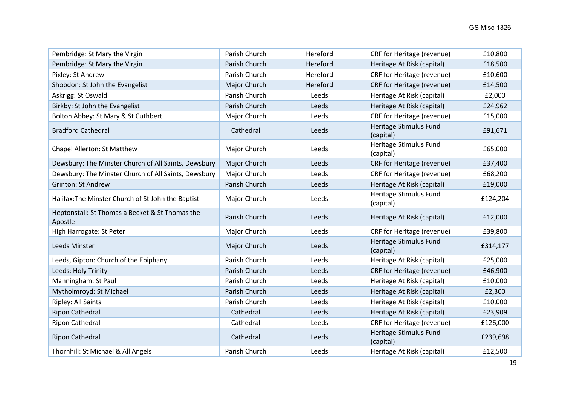| Pembridge: St Mary the Virgin                              | Parish Church | Hereford | CRF for Heritage (revenue)          | £10,800  |
|------------------------------------------------------------|---------------|----------|-------------------------------------|----------|
| Pembridge: St Mary the Virgin                              | Parish Church | Hereford | Heritage At Risk (capital)          | £18,500  |
| Pixley: St Andrew                                          | Parish Church | Hereford | CRF for Heritage (revenue)          | £10,600  |
| Shobdon: St John the Evangelist                            | Major Church  | Hereford | CRF for Heritage (revenue)          | £14,500  |
| Askrigg: St Oswald                                         | Parish Church | Leeds    | Heritage At Risk (capital)          | £2,000   |
| Birkby: St John the Evangelist                             | Parish Church | Leeds    | Heritage At Risk (capital)          | £24,962  |
| Bolton Abbey: St Mary & St Cuthbert                        | Major Church  | Leeds    | CRF for Heritage (revenue)          | £15,000  |
| <b>Bradford Cathedral</b>                                  | Cathedral     | Leeds    | Heritage Stimulus Fund<br>(capital) | £91,671  |
| Chapel Allerton: St Matthew                                | Major Church  | Leeds    | Heritage Stimulus Fund<br>(capital) | £65,000  |
| Dewsbury: The Minster Church of All Saints, Dewsbury       | Major Church  | Leeds    | CRF for Heritage (revenue)          | £37,400  |
| Dewsbury: The Minster Church of All Saints, Dewsbury       | Major Church  | Leeds    | CRF for Heritage (revenue)          | £68,200  |
| <b>Grinton: St Andrew</b>                                  | Parish Church | Leeds    | Heritage At Risk (capital)          | £19,000  |
| Halifax: The Minster Church of St John the Baptist         | Major Church  | Leeds    | Heritage Stimulus Fund<br>(capital) | £124,204 |
| Heptonstall: St Thomas a Becket & St Thomas the<br>Apostle | Parish Church | Leeds    | Heritage At Risk (capital)          | £12,000  |
| High Harrogate: St Peter                                   | Major Church  | Leeds    | CRF for Heritage (revenue)          | £39,800  |
| Leeds Minster                                              | Major Church  | Leeds    | Heritage Stimulus Fund<br>(capital) | £314,177 |
| Leeds, Gipton: Church of the Epiphany                      | Parish Church | Leeds    | Heritage At Risk (capital)          | £25,000  |
| Leeds: Holy Trinity                                        | Parish Church | Leeds    | CRF for Heritage (revenue)          | £46,900  |
| Manningham: St Paul                                        | Parish Church | Leeds    | Heritage At Risk (capital)          | £10,000  |
| Mytholmroyd: St Michael                                    | Parish Church | Leeds    | Heritage At Risk (capital)          | £2,300   |
| Ripley: All Saints                                         | Parish Church | Leeds    | Heritage At Risk (capital)          | £10,000  |
| <b>Ripon Cathedral</b>                                     | Cathedral     | Leeds    | Heritage At Risk (capital)          | £23,909  |
| Ripon Cathedral                                            | Cathedral     | Leeds    | CRF for Heritage (revenue)          | £126,000 |
| Ripon Cathedral                                            | Cathedral     | Leeds    | Heritage Stimulus Fund<br>(capital) | £239,698 |
| Thornhill: St Michael & All Angels                         | Parish Church | Leeds    | Heritage At Risk (capital)          | £12,500  |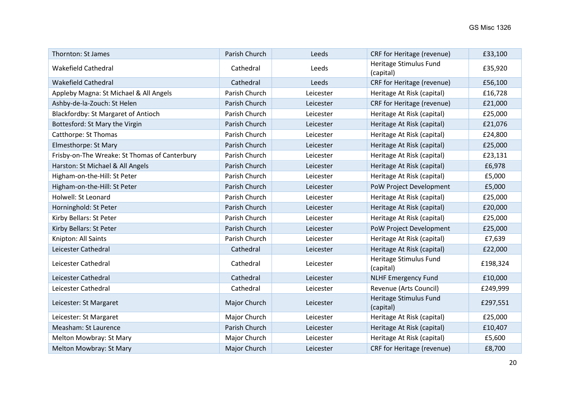| Thornton: St James                            | Parish Church | Leeds     | CRF for Heritage (revenue)          | £33,100  |
|-----------------------------------------------|---------------|-----------|-------------------------------------|----------|
| <b>Wakefield Cathedral</b>                    | Cathedral     | Leeds     | Heritage Stimulus Fund<br>(capital) | £35,920  |
| <b>Wakefield Cathedral</b>                    | Cathedral     | Leeds     | CRF for Heritage (revenue)          | £56,100  |
| Appleby Magna: St Michael & All Angels        | Parish Church | Leicester | Heritage At Risk (capital)          | £16,728  |
| Ashby-de-la-Zouch: St Helen                   | Parish Church | Leicester | CRF for Heritage (revenue)          | £21,000  |
| Blackfordby: St Margaret of Antioch           | Parish Church | Leicester | Heritage At Risk (capital)          | £25,000  |
| Bottesford: St Mary the Virgin                | Parish Church | Leicester | Heritage At Risk (capital)          | £21,076  |
| Catthorpe: St Thomas                          | Parish Church | Leicester | Heritage At Risk (capital)          | £24,800  |
| Elmesthorpe: St Mary                          | Parish Church | Leicester | Heritage At Risk (capital)          | £25,000  |
| Frisby-on-The Wreake: St Thomas of Canterbury | Parish Church | Leicester | Heritage At Risk (capital)          | £23,131  |
| Harston: St Michael & All Angels              | Parish Church | Leicester | Heritage At Risk (capital)          | £6,978   |
| Higham-on-the-Hill: St Peter                  | Parish Church | Leicester | Heritage At Risk (capital)          | £5,000   |
| Higham-on-the-Hill: St Peter                  | Parish Church | Leicester | PoW Project Development             | £5,000   |
| Holwell: St Leonard                           | Parish Church | Leicester | Heritage At Risk (capital)          | £25,000  |
| Horninghold: St Peter                         | Parish Church | Leicester | Heritage At Risk (capital)          | £20,000  |
| Kirby Bellars: St Peter                       | Parish Church | Leicester | Heritage At Risk (capital)          | £25,000  |
| Kirby Bellars: St Peter                       | Parish Church | Leicester | PoW Project Development             | £25,000  |
| Knipton: All Saints                           | Parish Church | Leicester | Heritage At Risk (capital)          | £7,639   |
| Leicester Cathedral                           | Cathedral     | Leicester | Heritage At Risk (capital)          | £22,000  |
| Leicester Cathedral                           | Cathedral     | Leicester | Heritage Stimulus Fund<br>(capital) | £198,324 |
| Leicester Cathedral                           | Cathedral     | Leicester | <b>NLHF Emergency Fund</b>          | £10,000  |
| Leicester Cathedral                           | Cathedral     | Leicester | Revenue (Arts Council)              | £249,999 |
| Leicester: St Margaret                        | Major Church  | Leicester | Heritage Stimulus Fund<br>(capital) | £297,551 |
| Leicester: St Margaret                        | Major Church  | Leicester | Heritage At Risk (capital)          | £25,000  |
| Measham: St Laurence                          | Parish Church | Leicester | Heritage At Risk (capital)          | £10,407  |
| Melton Mowbray: St Mary                       | Major Church  | Leicester | Heritage At Risk (capital)          | £5,600   |
| Melton Mowbray: St Mary                       | Major Church  | Leicester | CRF for Heritage (revenue)          | £8,700   |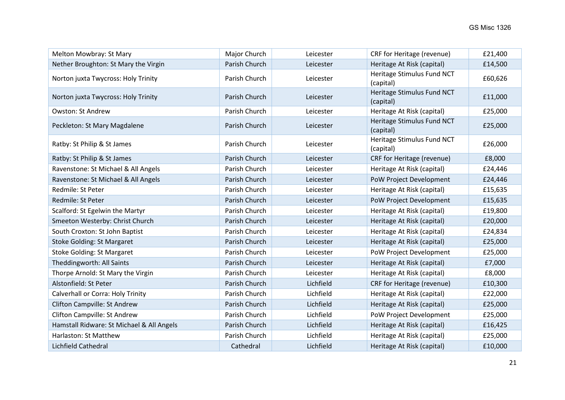| Melton Mowbray: St Mary                   | Major Church  | Leicester | CRF for Heritage (revenue)              | £21,400 |
|-------------------------------------------|---------------|-----------|-----------------------------------------|---------|
| Nether Broughton: St Mary the Virgin      | Parish Church | Leicester | Heritage At Risk (capital)              | £14,500 |
| Norton juxta Twycross: Holy Trinity       | Parish Church | Leicester | Heritage Stimulus Fund NCT<br>(capital) | £60,626 |
| Norton juxta Twycross: Holy Trinity       | Parish Church | Leicester | Heritage Stimulus Fund NCT<br>(capital) | £11,000 |
| <b>Owston: St Andrew</b>                  | Parish Church | Leicester | Heritage At Risk (capital)              | £25,000 |
| Peckleton: St Mary Magdalene              | Parish Church | Leicester | Heritage Stimulus Fund NCT<br>(capital) | £25,000 |
| Ratby: St Philip & St James               | Parish Church | Leicester | Heritage Stimulus Fund NCT<br>(capital) | £26,000 |
| Ratby: St Philip & St James               | Parish Church | Leicester | CRF for Heritage (revenue)              | £8,000  |
| Ravenstone: St Michael & All Angels       | Parish Church | Leicester | Heritage At Risk (capital)              | £24,446 |
| Ravenstone: St Michael & All Angels       | Parish Church | Leicester | PoW Project Development                 | £24,446 |
| Redmile: St Peter                         | Parish Church | Leicester | Heritage At Risk (capital)              | £15,635 |
| Redmile: St Peter                         | Parish Church | Leicester | PoW Project Development                 | £15,635 |
| Scalford: St Egelwin the Martyr           | Parish Church | Leicester | Heritage At Risk (capital)              | £19,800 |
| Smeeton Westerby: Christ Church           | Parish Church | Leicester | Heritage At Risk (capital)              | £20,000 |
| South Croxton: St John Baptist            | Parish Church | Leicester | Heritage At Risk (capital)              | £24,834 |
| <b>Stoke Golding: St Margaret</b>         | Parish Church | Leicester | Heritage At Risk (capital)              | £25,000 |
| <b>Stoke Golding: St Margaret</b>         | Parish Church | Leicester | PoW Project Development                 | £25,000 |
| Theddingworth: All Saints                 | Parish Church | Leicester | Heritage At Risk (capital)              | £7,000  |
| Thorpe Arnold: St Mary the Virgin         | Parish Church | Leicester | Heritage At Risk (capital)              | £8,000  |
| Alstonfield: St Peter                     | Parish Church | Lichfield | CRF for Heritage (revenue)              | £10,300 |
| Calverhall or Corra: Holy Trinity         | Parish Church | Lichfield | Heritage At Risk (capital)              | £22,000 |
| <b>Clifton Campville: St Andrew</b>       | Parish Church | Lichfield | Heritage At Risk (capital)              | £25,000 |
| Clifton Campville: St Andrew              | Parish Church | Lichfield | PoW Project Development                 | £25,000 |
| Hamstall Ridware: St Michael & All Angels | Parish Church | Lichfield | Heritage At Risk (capital)              | £16,425 |
| Harlaston: St Matthew                     | Parish Church | Lichfield | Heritage At Risk (capital)              | £25,000 |
| Lichfield Cathedral                       | Cathedral     | Lichfield | Heritage At Risk (capital)              | £10,000 |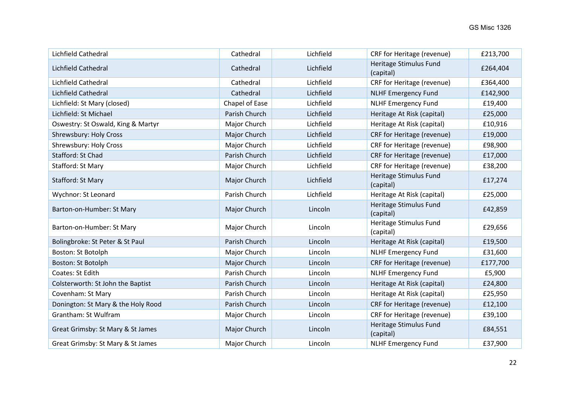| Lichfield Cathedral                | Cathedral      | Lichfield | CRF for Heritage (revenue)          | £213,700 |
|------------------------------------|----------------|-----------|-------------------------------------|----------|
| Lichfield Cathedral                | Cathedral      | Lichfield | Heritage Stimulus Fund<br>(capital) | £264,404 |
| Lichfield Cathedral                | Cathedral      | Lichfield | CRF for Heritage (revenue)          | £364,400 |
| Lichfield Cathedral                | Cathedral      | Lichfield | <b>NLHF Emergency Fund</b>          | £142,900 |
| Lichfield: St Mary (closed)        | Chapel of Ease | Lichfield | <b>NLHF Emergency Fund</b>          | £19,400  |
| Lichfield: St Michael              | Parish Church  | Lichfield | Heritage At Risk (capital)          | £25,000  |
| Oswestry: St Oswald, King & Martyr | Major Church   | Lichfield | Heritage At Risk (capital)          | £10,916  |
| <b>Shrewsbury: Holy Cross</b>      | Major Church   | Lichfield | CRF for Heritage (revenue)          | £19,000  |
| Shrewsbury: Holy Cross             | Major Church   | Lichfield | CRF for Heritage (revenue)          | £98,900  |
| Stafford: St Chad                  | Parish Church  | Lichfield | CRF for Heritage (revenue)          | £17,000  |
| Stafford: St Mary                  | Major Church   | Lichfield | CRF for Heritage (revenue)          | £38,200  |
| Stafford: St Mary                  | Major Church   | Lichfield | Heritage Stimulus Fund<br>(capital) | £17,274  |
| Wychnor: St Leonard                | Parish Church  | Lichfield | Heritage At Risk (capital)          | £25,000  |
| Barton-on-Humber: St Mary          | Major Church   | Lincoln   | Heritage Stimulus Fund<br>(capital) | £42,859  |
| Barton-on-Humber: St Mary          | Major Church   | Lincoln   | Heritage Stimulus Fund<br>(capital) | £29,656  |
| Bolingbroke: St Peter & St Paul    | Parish Church  | Lincoln   | Heritage At Risk (capital)          | £19,500  |
| Boston: St Botolph                 | Major Church   | Lincoln   | <b>NLHF Emergency Fund</b>          | £31,600  |
| Boston: St Botolph                 | Major Church   | Lincoln   | CRF for Heritage (revenue)          | £177,700 |
| Coates: St Edith                   | Parish Church  | Lincoln   | <b>NLHF Emergency Fund</b>          | £5,900   |
| Colsterworth: St John the Baptist  | Parish Church  | Lincoln   | Heritage At Risk (capital)          | £24,800  |
| Covenham: St Mary                  | Parish Church  | Lincoln   | Heritage At Risk (capital)          | £25,950  |
| Donington: St Mary & the Holy Rood | Parish Church  | Lincoln   | CRF for Heritage (revenue)          | £12,100  |
| Grantham: St Wulfram               | Major Church   | Lincoln   | CRF for Heritage (revenue)          | £39,100  |
| Great Grimsby: St Mary & St James  | Major Church   | Lincoln   | Heritage Stimulus Fund<br>(capital) | £84,551  |
| Great Grimsby: St Mary & St James  | Major Church   | Lincoln   | <b>NLHF Emergency Fund</b>          | £37,900  |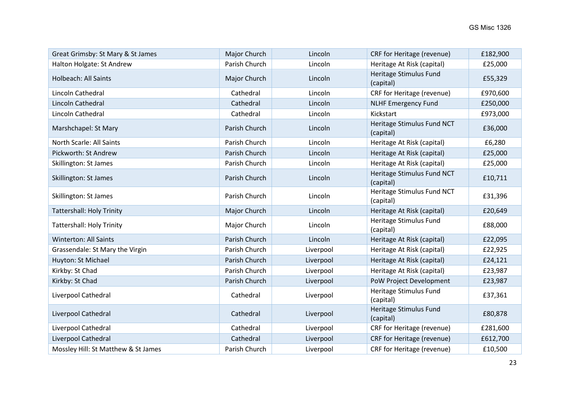| Great Grimsby: St Mary & St James   | Major Church  | Lincoln   | CRF for Heritage (revenue)              | £182,900 |
|-------------------------------------|---------------|-----------|-----------------------------------------|----------|
| Halton Holgate: St Andrew           | Parish Church | Lincoln   | Heritage At Risk (capital)              | £25,000  |
| <b>Holbeach: All Saints</b>         | Major Church  | Lincoln   | Heritage Stimulus Fund<br>(capital)     | £55,329  |
| Lincoln Cathedral                   | Cathedral     | Lincoln   | CRF for Heritage (revenue)              | £970,600 |
| Lincoln Cathedral                   | Cathedral     | Lincoln   | <b>NLHF Emergency Fund</b>              | £250,000 |
| Lincoln Cathedral                   | Cathedral     | Lincoln   | Kickstart                               | £973,000 |
| Marshchapel: St Mary                | Parish Church | Lincoln   | Heritage Stimulus Fund NCT<br>(capital) | £36,000  |
| <b>North Scarle: All Saints</b>     | Parish Church | Lincoln   | Heritage At Risk (capital)              | £6,280   |
| Pickworth: St Andrew                | Parish Church | Lincoln   | Heritage At Risk (capital)              | £25,000  |
| Skillington: St James               | Parish Church | Lincoln   | Heritage At Risk (capital)              | £25,000  |
| Skillington: St James               | Parish Church | Lincoln   | Heritage Stimulus Fund NCT<br>(capital) | £10,711  |
| Skillington: St James               | Parish Church | Lincoln   | Heritage Stimulus Fund NCT<br>(capital) | £31,396  |
| <b>Tattershall: Holy Trinity</b>    | Major Church  | Lincoln   | Heritage At Risk (capital)              | £20,649  |
| <b>Tattershall: Holy Trinity</b>    | Major Church  | Lincoln   | Heritage Stimulus Fund<br>(capital)     | £88,000  |
| <b>Winterton: All Saints</b>        | Parish Church | Lincoln   | Heritage At Risk (capital)              | £22,095  |
| Grassendale: St Mary the Virgin     | Parish Church | Liverpool | Heritage At Risk (capital)              | £22,925  |
| Huyton: St Michael                  | Parish Church | Liverpool | Heritage At Risk (capital)              | £24,121  |
| Kirkby: St Chad                     | Parish Church | Liverpool | Heritage At Risk (capital)              | £23,987  |
| Kirkby: St Chad                     | Parish Church | Liverpool | PoW Project Development                 | £23,987  |
| Liverpool Cathedral                 | Cathedral     | Liverpool | Heritage Stimulus Fund<br>(capital)     | £37,361  |
| Liverpool Cathedral                 | Cathedral     | Liverpool | Heritage Stimulus Fund<br>(capital)     | £80,878  |
| Liverpool Cathedral                 | Cathedral     | Liverpool | CRF for Heritage (revenue)              | £281,600 |
| Liverpool Cathedral                 | Cathedral     | Liverpool | CRF for Heritage (revenue)              | £612,700 |
| Mossley Hill: St Matthew & St James | Parish Church | Liverpool | CRF for Heritage (revenue)              | £10,500  |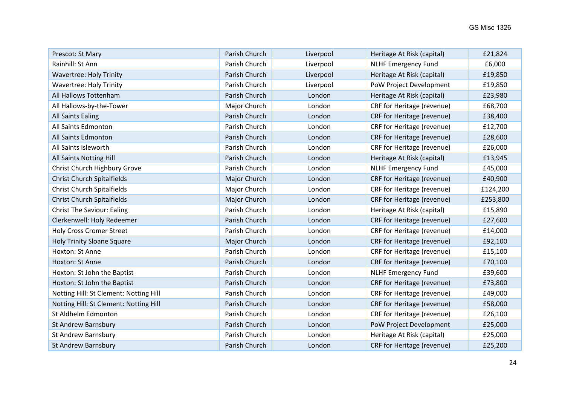| Prescot: St Mary                       | Parish Church | Liverpool | Heritage At Risk (capital) | £21,824  |
|----------------------------------------|---------------|-----------|----------------------------|----------|
| Rainhill: St Ann                       | Parish Church | Liverpool | <b>NLHF Emergency Fund</b> | £6,000   |
| <b>Wavertree: Holy Trinity</b>         | Parish Church | Liverpool | Heritage At Risk (capital) | £19,850  |
| <b>Wavertree: Holy Trinity</b>         | Parish Church | Liverpool | PoW Project Development    | £19,850  |
| All Hallows Tottenham                  | Parish Church | London    | Heritage At Risk (capital) | £23,980  |
| All Hallows-by-the-Tower               | Major Church  | London    | CRF for Heritage (revenue) | £68,700  |
| <b>All Saints Ealing</b>               | Parish Church | London    | CRF for Heritage (revenue) | £38,400  |
| All Saints Edmonton                    | Parish Church | London    | CRF for Heritage (revenue) | £12,700  |
| All Saints Edmonton                    | Parish Church | London    | CRF for Heritage (revenue) | £28,600  |
| All Saints Isleworth                   | Parish Church | London    | CRF for Heritage (revenue) | £26,000  |
| All Saints Notting Hill                | Parish Church | London    | Heritage At Risk (capital) | £13,945  |
| Christ Church Highbury Grove           | Parish Church | London    | <b>NLHF Emergency Fund</b> | £45,000  |
| <b>Christ Church Spitalfields</b>      | Major Church  | London    | CRF for Heritage (revenue) | £40,900  |
| <b>Christ Church Spitalfields</b>      | Major Church  | London    | CRF for Heritage (revenue) | £124,200 |
| <b>Christ Church Spitalfields</b>      | Major Church  | London    | CRF for Heritage (revenue) | £253,800 |
| <b>Christ The Saviour: Ealing</b>      | Parish Church | London    | Heritage At Risk (capital) | £15,890  |
| Clerkenwell: Holy Redeemer             | Parish Church | London    | CRF for Heritage (revenue) | £27,600  |
| <b>Holy Cross Cromer Street</b>        | Parish Church | London    | CRF for Heritage (revenue) | £14,000  |
| <b>Holy Trinity Sloane Square</b>      | Major Church  | London    | CRF for Heritage (revenue) | £92,100  |
| Hoxton: St Anne                        | Parish Church | London    | CRF for Heritage (revenue) | £15,100  |
| Hoxton: St Anne                        | Parish Church | London    | CRF for Heritage (revenue) | £70,100  |
| Hoxton: St John the Baptist            | Parish Church | London    | <b>NLHF Emergency Fund</b> | £39,600  |
| Hoxton: St John the Baptist            | Parish Church | London    | CRF for Heritage (revenue) | £73,800  |
| Notting Hill: St Clement: Notting Hill | Parish Church | London    | CRF for Heritage (revenue) | £49,000  |
| Notting Hill: St Clement: Notting Hill | Parish Church | London    | CRF for Heritage (revenue) | £58,000  |
| St Aldhelm Edmonton                    | Parish Church | London    | CRF for Heritage (revenue) | £26,100  |
| <b>St Andrew Barnsbury</b>             | Parish Church | London    | PoW Project Development    | £25,000  |
| <b>St Andrew Barnsbury</b>             | Parish Church | London    | Heritage At Risk (capital) | £25,000  |
| <b>St Andrew Barnsbury</b>             | Parish Church | London    | CRF for Heritage (revenue) | £25,200  |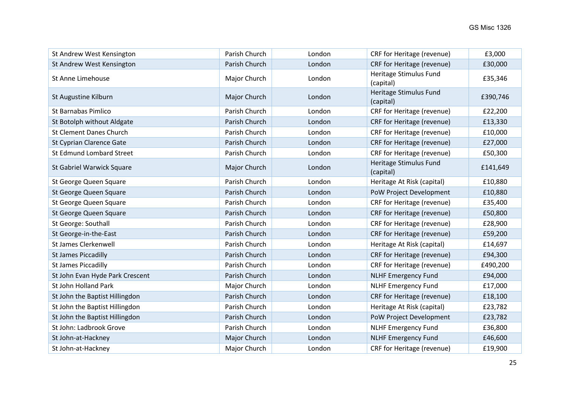| St Andrew West Kensington       | Parish Church | London | CRF for Heritage (revenue)          | £3,000   |
|---------------------------------|---------------|--------|-------------------------------------|----------|
| St Andrew West Kensington       | Parish Church | London | CRF for Heritage (revenue)          | £30,000  |
| St Anne Limehouse               | Major Church  | London | Heritage Stimulus Fund<br>(capital) | £35,346  |
| St Augustine Kilburn            | Major Church  | London | Heritage Stimulus Fund<br>(capital) | £390,746 |
| <b>St Barnabas Pimlico</b>      | Parish Church | London | CRF for Heritage (revenue)          | £22,200  |
| St Botolph without Aldgate      | Parish Church | London | CRF for Heritage (revenue)          | £13,330  |
| <b>St Clement Danes Church</b>  | Parish Church | London | CRF for Heritage (revenue)          | £10,000  |
| <b>St Cyprian Clarence Gate</b> | Parish Church | London | CRF for Heritage (revenue)          | £27,000  |
| St Edmund Lombard Street        | Parish Church | London | CRF for Heritage (revenue)          | £50,300  |
| St Gabriel Warwick Square       | Major Church  | London | Heritage Stimulus Fund<br>(capital) | £141,649 |
| St George Queen Square          | Parish Church | London | Heritage At Risk (capital)          | £10,880  |
| St George Queen Square          | Parish Church | London | PoW Project Development             | £10,880  |
| St George Queen Square          | Parish Church | London | CRF for Heritage (revenue)          | £35,400  |
| St George Queen Square          | Parish Church | London | CRF for Heritage (revenue)          | £50,800  |
| St George: Southall             | Parish Church | London | CRF for Heritage (revenue)          | £28,900  |
| St George-in-the-East           | Parish Church | London | CRF for Heritage (revenue)          | £59,200  |
| St James Clerkenwell            | Parish Church | London | Heritage At Risk (capital)          | £14,697  |
| <b>St James Piccadilly</b>      | Parish Church | London | CRF for Heritage (revenue)          | £94,300  |
| <b>St James Piccadilly</b>      | Parish Church | London | CRF for Heritage (revenue)          | £490,200 |
| St John Evan Hyde Park Crescent | Parish Church | London | <b>NLHF Emergency Fund</b>          | £94,000  |
| St John Holland Park            | Major Church  | London | <b>NLHF Emergency Fund</b>          | £17,000  |
| St John the Baptist Hillingdon  | Parish Church | London | CRF for Heritage (revenue)          | £18,100  |
| St John the Baptist Hillingdon  | Parish Church | London | Heritage At Risk (capital)          | £23,782  |
| St John the Baptist Hillingdon  | Parish Church | London | PoW Project Development             | £23,782  |
| St John: Ladbrook Grove         | Parish Church | London | <b>NLHF Emergency Fund</b>          | £36,800  |
| St John-at-Hackney              | Major Church  | London | <b>NLHF Emergency Fund</b>          | £46,600  |
| St John-at-Hackney              | Major Church  | London | CRF for Heritage (revenue)          | £19,900  |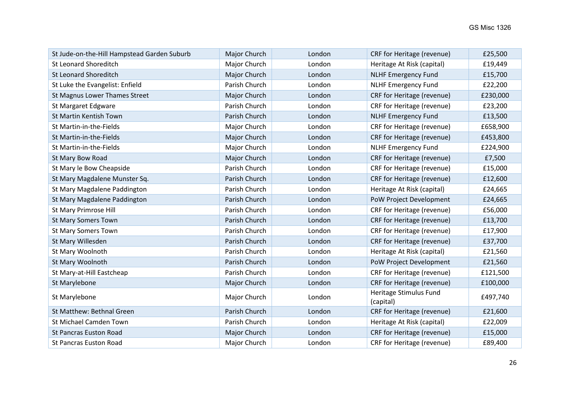| St Jude-on-the-Hill Hampstead Garden Suburb | Major Church  | London | CRF for Heritage (revenue)          | £25,500  |
|---------------------------------------------|---------------|--------|-------------------------------------|----------|
| <b>St Leonard Shoreditch</b>                | Major Church  | London | Heritage At Risk (capital)          | £19,449  |
| <b>St Leonard Shoreditch</b>                | Major Church  | London | <b>NLHF Emergency Fund</b>          | £15,700  |
| St Luke the Evangelist: Enfield             | Parish Church | London | <b>NLHF Emergency Fund</b>          | £22,200  |
| St Magnus Lower Thames Street               | Major Church  | London | CRF for Heritage (revenue)          | £230,000 |
| St Margaret Edgware                         | Parish Church | London | CRF for Heritage (revenue)          | £23,200  |
| St Martin Kentish Town                      | Parish Church | London | <b>NLHF Emergency Fund</b>          | £13,500  |
| St Martin-in-the-Fields                     | Major Church  | London | CRF for Heritage (revenue)          | £658,900 |
| St Martin-in-the-Fields                     | Major Church  | London | CRF for Heritage (revenue)          | £453,800 |
| St Martin-in-the-Fields                     | Major Church  | London | <b>NLHF Emergency Fund</b>          | £224,900 |
| St Mary Bow Road                            | Major Church  | London | CRF for Heritage (revenue)          | £7,500   |
| St Mary le Bow Cheapside                    | Parish Church | London | CRF for Heritage (revenue)          | £15,000  |
| St Mary Magdalene Munster Sq.               | Parish Church | London | CRF for Heritage (revenue)          | £12,600  |
| St Mary Magdalene Paddington                | Parish Church | London | Heritage At Risk (capital)          | £24,665  |
| St Mary Magdalene Paddington                | Parish Church | London | PoW Project Development             | £24,665  |
| St Mary Primrose Hill                       | Parish Church | London | CRF for Heritage (revenue)          | £56,000  |
| <b>St Mary Somers Town</b>                  | Parish Church | London | CRF for Heritage (revenue)          | £13,700  |
| <b>St Mary Somers Town</b>                  | Parish Church | London | CRF for Heritage (revenue)          | £17,900  |
| St Mary Willesden                           | Parish Church | London | CRF for Heritage (revenue)          | £37,700  |
| St Mary Woolnoth                            | Parish Church | London | Heritage At Risk (capital)          | £21,560  |
| St Mary Woolnoth                            | Parish Church | London | PoW Project Development             | £21,560  |
| St Mary-at-Hill Eastcheap                   | Parish Church | London | CRF for Heritage (revenue)          | £121,500 |
| St Marylebone                               | Major Church  | London | CRF for Heritage (revenue)          | £100,000 |
| St Marylebone                               | Major Church  | London | Heritage Stimulus Fund<br>(capital) | £497,740 |
| St Matthew: Bethnal Green                   | Parish Church | London | CRF for Heritage (revenue)          | £21,600  |
| St Michael Camden Town                      | Parish Church | London | Heritage At Risk (capital)          | £22,009  |
| <b>St Pancras Euston Road</b>               | Major Church  | London | CRF for Heritage (revenue)          | £15,000  |
| <b>St Pancras Euston Road</b>               | Major Church  | London | CRF for Heritage (revenue)          | £89,400  |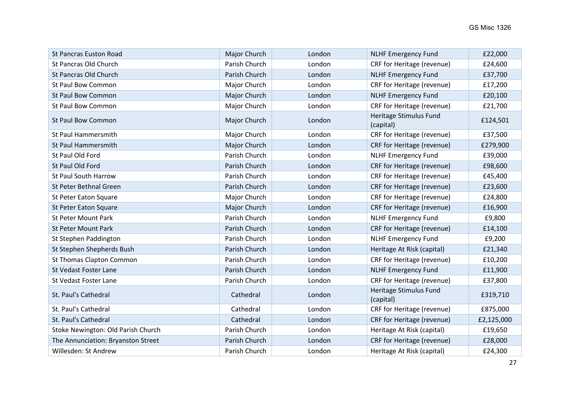| <b>St Pancras Euston Road</b>      | Major Church  | London | <b>NLHF Emergency Fund</b>          | £22,000    |
|------------------------------------|---------------|--------|-------------------------------------|------------|
| St Pancras Old Church              | Parish Church | London | CRF for Heritage (revenue)          | £24,600    |
| St Pancras Old Church              | Parish Church | London | <b>NLHF Emergency Fund</b>          | £37,700    |
| St Paul Bow Common                 | Major Church  | London | CRF for Heritage (revenue)          | £17,200    |
| <b>St Paul Bow Common</b>          | Major Church  | London | <b>NLHF Emergency Fund</b>          | £20,100    |
| St Paul Bow Common                 | Major Church  | London | CRF for Heritage (revenue)          | £21,700    |
| <b>St Paul Bow Common</b>          | Major Church  | London | Heritage Stimulus Fund<br>(capital) | £124,501   |
| St Paul Hammersmith                | Major Church  | London | CRF for Heritage (revenue)          | £37,500    |
| St Paul Hammersmith                | Major Church  | London | CRF for Heritage (revenue)          | £279,900   |
| St Paul Old Ford                   | Parish Church | London | <b>NLHF Emergency Fund</b>          | £39,000    |
| St Paul Old Ford                   | Parish Church | London | CRF for Heritage (revenue)          | £98,600    |
| St Paul South Harrow               | Parish Church | London | CRF for Heritage (revenue)          | £45,400    |
| St Peter Bethnal Green             | Parish Church | London | CRF for Heritage (revenue)          | £23,600    |
| St Peter Eaton Square              | Major Church  | London | CRF for Heritage (revenue)          | £24,800    |
| St Peter Eaton Square              | Major Church  | London | CRF for Heritage (revenue)          | £16,900    |
| St Peter Mount Park                | Parish Church | London | <b>NLHF Emergency Fund</b>          | £9,800     |
| St Peter Mount Park                | Parish Church | London | CRF for Heritage (revenue)          | £14,100    |
| St Stephen Paddington              | Parish Church | London | <b>NLHF Emergency Fund</b>          | £9,200     |
| St Stephen Shepherds Bush          | Parish Church | London | Heritage At Risk (capital)          | £21,340    |
| St Thomas Clapton Common           | Parish Church | London | CRF for Heritage (revenue)          | £10,200    |
| St Vedast Foster Lane              | Parish Church | London | <b>NLHF Emergency Fund</b>          | £11,900    |
| St Vedast Foster Lane              | Parish Church | London | CRF for Heritage (revenue)          | £37,800    |
| St. Paul's Cathedral               | Cathedral     | London | Heritage Stimulus Fund<br>(capital) | £319,710   |
| St. Paul's Cathedral               | Cathedral     | London | CRF for Heritage (revenue)          | £875,000   |
| St. Paul's Cathedral               | Cathedral     | London | CRF for Heritage (revenue)          | £2,125,000 |
| Stoke Newington: Old Parish Church | Parish Church | London | Heritage At Risk (capital)          | £19,650    |
| The Annunciation: Bryanston Street | Parish Church | London | CRF for Heritage (revenue)          | £28,000    |
| Willesden: St Andrew               | Parish Church | London | Heritage At Risk (capital)          | £24,300    |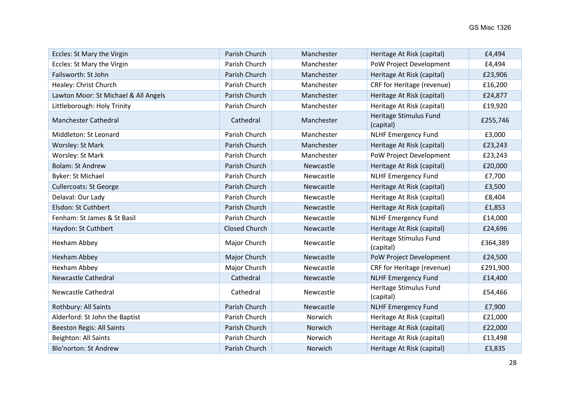| Eccles: St Mary the Virgin           | Parish Church        | Manchester | Heritage At Risk (capital)          | £4,494   |
|--------------------------------------|----------------------|------------|-------------------------------------|----------|
| Eccles: St Mary the Virgin           | Parish Church        | Manchester | PoW Project Development             | £4,494   |
| Failsworth: St John                  | Parish Church        | Manchester | Heritage At Risk (capital)          | £23,906  |
| Healey: Christ Church                | Parish Church        | Manchester | CRF for Heritage (revenue)          | £16,200  |
| Lawton Moor: St Michael & All Angels | Parish Church        | Manchester | Heritage At Risk (capital)          | £24,877  |
| Littleborough: Holy Trinity          | Parish Church        | Manchester | Heritage At Risk (capital)          | £19,920  |
| <b>Manchester Cathedral</b>          | Cathedral            | Manchester | Heritage Stimulus Fund<br>(capital) | £255,746 |
| Middleton: St Leonard                | Parish Church        | Manchester | <b>NLHF Emergency Fund</b>          | £3,000   |
| Worsley: St Mark                     | Parish Church        | Manchester | Heritage At Risk (capital)          | £23,243  |
| Worsley: St Mark                     | Parish Church        | Manchester | PoW Project Development             | £23,243  |
| <b>Bolam: St Andrew</b>              | Parish Church        | Newcastle  | Heritage At Risk (capital)          | £20,000  |
| <b>Byker: St Michael</b>             | Parish Church        | Newcastle  | <b>NLHF Emergency Fund</b>          | £7,700   |
| <b>Cullercoats: St George</b>        | Parish Church        | Newcastle  | Heritage At Risk (capital)          | £3,500   |
| Delaval: Our Lady                    | Parish Church        | Newcastle  | Heritage At Risk (capital)          | £8,404   |
| Elsdon: St Cuthbert                  | Parish Church        | Newcastle  | Heritage At Risk (capital)          | £1,853   |
| Fenham: St James & St Basil          | Parish Church        | Newcastle  | <b>NLHF Emergency Fund</b>          | £14,000  |
| Haydon: St Cuthbert                  | <b>Closed Church</b> | Newcastle  | Heritage At Risk (capital)          | £24,696  |
| Hexham Abbey                         | Major Church         | Newcastle  | Heritage Stimulus Fund<br>(capital) | £364,389 |
| <b>Hexham Abbey</b>                  | Major Church         | Newcastle  | PoW Project Development             | £24,500  |
| <b>Hexham Abbey</b>                  | Major Church         | Newcastle  | CRF for Heritage (revenue)          | £291,900 |
| <b>Newcastle Cathedral</b>           | Cathedral            | Newcastle  | <b>NLHF Emergency Fund</b>          | £14,400  |
| <b>Newcastle Cathedral</b>           | Cathedral            | Newcastle  | Heritage Stimulus Fund<br>(capital) | £54,466  |
| Rothbury: All Saints                 | Parish Church        | Newcastle  | <b>NLHF Emergency Fund</b>          | £7,900   |
| Alderford: St John the Baptist       | Parish Church        | Norwich    | Heritage At Risk (capital)          | £21,000  |
| <b>Beeston Regis: All Saints</b>     | Parish Church        | Norwich    | Heritage At Risk (capital)          | £22,000  |
| Beighton: All Saints                 | Parish Church        | Norwich    | Heritage At Risk (capital)          | £13,498  |
| <b>Blo'norton: St Andrew</b>         | Parish Church        | Norwich    | Heritage At Risk (capital)          | £3,835   |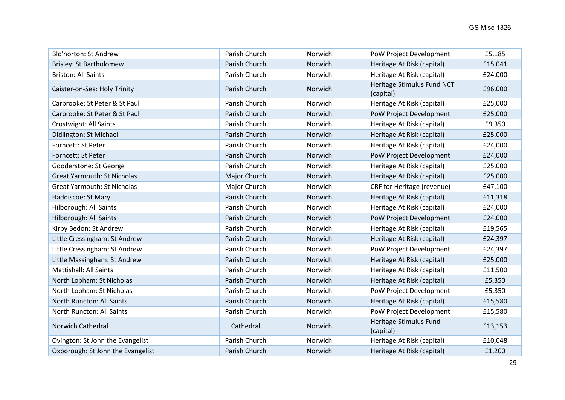| <b>Blo'norton: St Andrew</b>       | Parish Church | Norwich | PoW Project Development                 | £5,185  |
|------------------------------------|---------------|---------|-----------------------------------------|---------|
| <b>Brisley: St Bartholomew</b>     | Parish Church | Norwich | Heritage At Risk (capital)              | £15,041 |
| <b>Briston: All Saints</b>         | Parish Church | Norwich | Heritage At Risk (capital)              | £24,000 |
| Caister-on-Sea: Holy Trinity       | Parish Church | Norwich | Heritage Stimulus Fund NCT<br>(capital) | £96,000 |
| Carbrooke: St Peter & St Paul      | Parish Church | Norwich | Heritage At Risk (capital)              | £25,000 |
| Carbrooke: St Peter & St Paul      | Parish Church | Norwich | PoW Project Development                 | £25,000 |
| Crostwight: All Saints             | Parish Church | Norwich | Heritage At Risk (capital)              | £9,350  |
| Didlington: St Michael             | Parish Church | Norwich | Heritage At Risk (capital)              | £25,000 |
| Forncett: St Peter                 | Parish Church | Norwich | Heritage At Risk (capital)              | £24,000 |
| Forncett: St Peter                 | Parish Church | Norwich | PoW Project Development                 | £24,000 |
| Gooderstone: St George             | Parish Church | Norwich | Heritage At Risk (capital)              | £25,000 |
| <b>Great Yarmouth: St Nicholas</b> | Major Church  | Norwich | Heritage At Risk (capital)              | £25,000 |
| <b>Great Yarmouth: St Nicholas</b> | Major Church  | Norwich | CRF for Heritage (revenue)              | £47,100 |
| Haddiscoe: St Mary                 | Parish Church | Norwich | Heritage At Risk (capital)              | £11,318 |
| Hilborough: All Saints             | Parish Church | Norwich | Heritage At Risk (capital)              | £24,000 |
| Hilborough: All Saints             | Parish Church | Norwich | PoW Project Development                 | £24,000 |
| Kirby Bedon: St Andrew             | Parish Church | Norwich | Heritage At Risk (capital)              | £19,565 |
| Little Cressingham: St Andrew      | Parish Church | Norwich | Heritage At Risk (capital)              | £24,397 |
| Little Cressingham: St Andrew      | Parish Church | Norwich | PoW Project Development                 | £24,397 |
| Little Massingham: St Andrew       | Parish Church | Norwich | Heritage At Risk (capital)              | £25,000 |
| <b>Mattishall: All Saints</b>      | Parish Church | Norwich | Heritage At Risk (capital)              | £11,500 |
| North Lopham: St Nicholas          | Parish Church | Norwich | Heritage At Risk (capital)              | £5,350  |
| North Lopham: St Nicholas          | Parish Church | Norwich | PoW Project Development                 | £5,350  |
| North Runcton: All Saints          | Parish Church | Norwich | Heritage At Risk (capital)              | £15,580 |
| North Runcton: All Saints          | Parish Church | Norwich | PoW Project Development                 | £15,580 |
| Norwich Cathedral                  | Cathedral     | Norwich | Heritage Stimulus Fund<br>(capital)     | £13,153 |
| Ovington: St John the Evangelist   | Parish Church | Norwich | Heritage At Risk (capital)              | £10,048 |
| Oxborough: St John the Evangelist  | Parish Church | Norwich | Heritage At Risk (capital)              | £1,200  |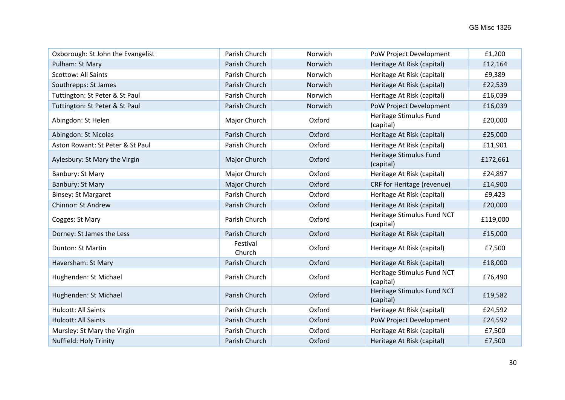| Oxborough: St John the Evangelist | Parish Church      | Norwich | PoW Project Development                 | £1,200   |
|-----------------------------------|--------------------|---------|-----------------------------------------|----------|
| Pulham: St Mary                   | Parish Church      | Norwich | Heritage At Risk (capital)              | £12,164  |
| <b>Scottow: All Saints</b>        | Parish Church      | Norwich | Heritage At Risk (capital)              | £9,389   |
| Southrepps: St James              | Parish Church      | Norwich | Heritage At Risk (capital)              | £22,539  |
| Tuttington: St Peter & St Paul    | Parish Church      | Norwich | Heritage At Risk (capital)              | £16,039  |
| Tuttington: St Peter & St Paul    | Parish Church      | Norwich | PoW Project Development                 | £16,039  |
| Abingdon: St Helen                | Major Church       | Oxford  | Heritage Stimulus Fund<br>(capital)     | £20,000  |
| Abingdon: St Nicolas              | Parish Church      | Oxford  | Heritage At Risk (capital)              | £25,000  |
| Aston Rowant: St Peter & St Paul  | Parish Church      | Oxford  | Heritage At Risk (capital)              | £11,901  |
| Aylesbury: St Mary the Virgin     | Major Church       | Oxford  | Heritage Stimulus Fund<br>(capital)     | £172,661 |
| Banbury: St Mary                  | Major Church       | Oxford  | Heritage At Risk (capital)              | £24,897  |
| Banbury: St Mary                  | Major Church       | Oxford  | CRF for Heritage (revenue)              | £14,900  |
| <b>Binsey: St Margaret</b>        | Parish Church      | Oxford  | Heritage At Risk (capital)              | £9,423   |
| <b>Chinnor: St Andrew</b>         | Parish Church      | Oxford  | Heritage At Risk (capital)              | £20,000  |
| Cogges: St Mary                   | Parish Church      | Oxford  | Heritage Stimulus Fund NCT<br>(capital) | £119,000 |
| Dorney: St James the Less         | Parish Church      | Oxford  | Heritage At Risk (capital)              | £15,000  |
| Dunton: St Martin                 | Festival<br>Church | Oxford  | Heritage At Risk (capital)              | £7,500   |
| Haversham: St Mary                | Parish Church      | Oxford  | Heritage At Risk (capital)              | £18,000  |
| Hughenden: St Michael             | Parish Church      | Oxford  | Heritage Stimulus Fund NCT<br>(capital) | £76,490  |
| Hughenden: St Michael             | Parish Church      | Oxford  | Heritage Stimulus Fund NCT<br>(capital) | £19,582  |
| <b>Hulcott: All Saints</b>        | Parish Church      | Oxford  | Heritage At Risk (capital)              | £24,592  |
| Hulcott: All Saints               | Parish Church      | Oxford  | PoW Project Development                 | £24,592  |
| Mursley: St Mary the Virgin       | Parish Church      | Oxford  | Heritage At Risk (capital)              | £7,500   |
| Nuffield: Holy Trinity            | Parish Church      | Oxford  | Heritage At Risk (capital)              | £7,500   |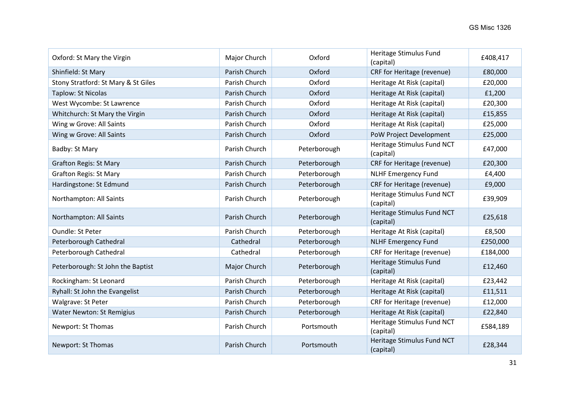| Oxford: St Mary the Virgin          | Major Church  | Oxford       | Heritage Stimulus Fund<br>(capital)     | £408,417 |
|-------------------------------------|---------------|--------------|-----------------------------------------|----------|
| Shinfield: St Mary                  | Parish Church | Oxford       | CRF for Heritage (revenue)              | £80,000  |
| Stony Stratford: St Mary & St Giles | Parish Church | Oxford       | Heritage At Risk (capital)              | £20,000  |
| Taplow: St Nicolas                  | Parish Church | Oxford       | Heritage At Risk (capital)              | £1,200   |
| West Wycombe: St Lawrence           | Parish Church | Oxford       | Heritage At Risk (capital)              | £20,300  |
| Whitchurch: St Mary the Virgin      | Parish Church | Oxford       | Heritage At Risk (capital)              | £15,855  |
| Wing w Grove: All Saints            | Parish Church | Oxford       | Heritage At Risk (capital)              | £25,000  |
| Wing w Grove: All Saints            | Parish Church | Oxford       | PoW Project Development                 | £25,000  |
| Badby: St Mary                      | Parish Church | Peterborough | Heritage Stimulus Fund NCT<br>(capital) | £47,000  |
| <b>Grafton Regis: St Mary</b>       | Parish Church | Peterborough | CRF for Heritage (revenue)              | £20,300  |
| <b>Grafton Regis: St Mary</b>       | Parish Church | Peterborough | <b>NLHF Emergency Fund</b>              | £4,400   |
| Hardingstone: St Edmund             | Parish Church | Peterborough | CRF for Heritage (revenue)              | £9,000   |
| Northampton: All Saints             | Parish Church | Peterborough | Heritage Stimulus Fund NCT<br>(capital) | £39,909  |
| Northampton: All Saints             | Parish Church | Peterborough | Heritage Stimulus Fund NCT<br>(capital) | £25,618  |
| Oundle: St Peter                    | Parish Church | Peterborough | Heritage At Risk (capital)              | £8,500   |
| Peterborough Cathedral              | Cathedral     | Peterborough | <b>NLHF Emergency Fund</b>              | £250,000 |
| Peterborough Cathedral              | Cathedral     | Peterborough | CRF for Heritage (revenue)              | £184,000 |
| Peterborough: St John the Baptist   | Major Church  | Peterborough | Heritage Stimulus Fund<br>(capital)     | £12,460  |
| Rockingham: St Leonard              | Parish Church | Peterborough | Heritage At Risk (capital)              | £23,442  |
| Ryhall: St John the Evangelist      | Parish Church | Peterborough | Heritage At Risk (capital)              | £11,511  |
| Walgrave: St Peter                  | Parish Church | Peterborough | CRF for Heritage (revenue)              | £12,000  |
| <b>Water Newton: St Remigius</b>    | Parish Church | Peterborough | Heritage At Risk (capital)              | £22,840  |
| Newport: St Thomas                  | Parish Church | Portsmouth   | Heritage Stimulus Fund NCT<br>(capital) | £584,189 |
| Newport: St Thomas                  | Parish Church | Portsmouth   | Heritage Stimulus Fund NCT<br>(capital) | £28,344  |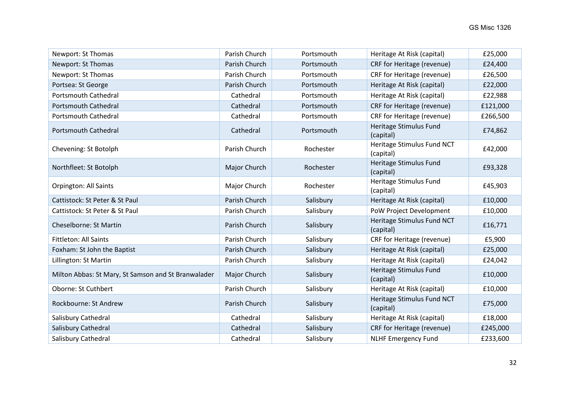| Newport: St Thomas                                  | Parish Church | Portsmouth | Heritage At Risk (capital)              | £25,000  |
|-----------------------------------------------------|---------------|------------|-----------------------------------------|----------|
| Newport: St Thomas                                  | Parish Church | Portsmouth | <b>CRF for Heritage (revenue)</b>       | £24,400  |
| Newport: St Thomas                                  | Parish Church | Portsmouth | CRF for Heritage (revenue)              | £26,500  |
| Portsea: St George                                  | Parish Church | Portsmouth | Heritage At Risk (capital)              | £22,000  |
| <b>Portsmouth Cathedral</b>                         | Cathedral     | Portsmouth | Heritage At Risk (capital)              | £22,988  |
| <b>Portsmouth Cathedral</b>                         | Cathedral     | Portsmouth | CRF for Heritage (revenue)              | £121,000 |
| <b>Portsmouth Cathedral</b>                         | Cathedral     | Portsmouth | CRF for Heritage (revenue)              | £266,500 |
| <b>Portsmouth Cathedral</b>                         | Cathedral     | Portsmouth | Heritage Stimulus Fund<br>(capital)     | £74,862  |
| Chevening: St Botolph                               | Parish Church | Rochester  | Heritage Stimulus Fund NCT<br>(capital) | £42,000  |
| Northfleet: St Botolph                              | Major Church  | Rochester  | Heritage Stimulus Fund<br>(capital)     | £93,328  |
| <b>Orpington: All Saints</b>                        | Major Church  | Rochester  | Heritage Stimulus Fund<br>(capital)     | £45,903  |
| Cattistock: St Peter & St Paul                      | Parish Church | Salisbury  | Heritage At Risk (capital)              | £10,000  |
| Cattistock: St Peter & St Paul                      | Parish Church | Salisbury  | PoW Project Development                 | £10,000  |
| Cheselborne: St Martin                              | Parish Church | Salisbury  | Heritage Stimulus Fund NCT<br>(capital) | £16,771  |
| <b>Fittleton: All Saints</b>                        | Parish Church | Salisbury  | CRF for Heritage (revenue)              | £5,900   |
| Foxham: St John the Baptist                         | Parish Church | Salisbury  | Heritage At Risk (capital)              | £25,000  |
| Lillington: St Martin                               | Parish Church | Salisbury  | Heritage At Risk (capital)              | £24,042  |
| Milton Abbas: St Mary, St Samson and St Branwalader | Major Church  | Salisbury  | Heritage Stimulus Fund<br>(capital)     | £10,000  |
| Oborne: St Cuthbert                                 | Parish Church | Salisbury  | Heritage At Risk (capital)              | £10,000  |
| Rockbourne: St Andrew                               | Parish Church | Salisbury  | Heritage Stimulus Fund NCT<br>(capital) | £75,000  |
| Salisbury Cathedral                                 | Cathedral     | Salisbury  | Heritage At Risk (capital)              | £18,000  |
| Salisbury Cathedral                                 | Cathedral     | Salisbury  | CRF for Heritage (revenue)              | £245,000 |
| Salisbury Cathedral                                 | Cathedral     | Salisbury  | <b>NLHF Emergency Fund</b>              | £233,600 |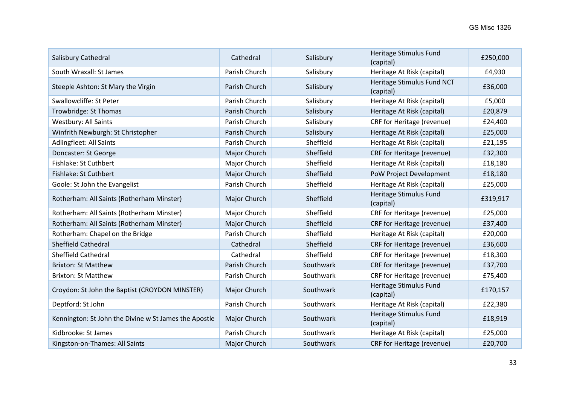| Salisbury Cathedral                                   | Cathedral     | Salisbury | Heritage Stimulus Fund<br>(capital)     | £250,000 |
|-------------------------------------------------------|---------------|-----------|-----------------------------------------|----------|
| South Wraxall: St James                               | Parish Church | Salisbury | Heritage At Risk (capital)              | £4,930   |
| Steeple Ashton: St Mary the Virgin                    | Parish Church | Salisbury | Heritage Stimulus Fund NCT<br>(capital) | £36,000  |
| Swallowcliffe: St Peter                               | Parish Church | Salisbury | Heritage At Risk (capital)              | £5,000   |
| Trowbridge: St Thomas                                 | Parish Church | Salisbury | Heritage At Risk (capital)              | £20,879  |
| <b>Westbury: All Saints</b>                           | Parish Church | Salisbury | CRF for Heritage (revenue)              | £24,400  |
| Winfrith Newburgh: St Christopher                     | Parish Church | Salisbury | Heritage At Risk (capital)              | £25,000  |
| Adlingfleet: All Saints                               | Parish Church | Sheffield | Heritage At Risk (capital)              | £21,195  |
| Doncaster: St George                                  | Major Church  | Sheffield | CRF for Heritage (revenue)              | £32,300  |
| Fishlake: St Cuthbert                                 | Major Church  | Sheffield | Heritage At Risk (capital)              | £18,180  |
| Fishlake: St Cuthbert                                 | Major Church  | Sheffield | PoW Project Development                 | £18,180  |
| Goole: St John the Evangelist                         | Parish Church | Sheffield | Heritage At Risk (capital)              | £25,000  |
| Rotherham: All Saints (Rotherham Minster)             | Major Church  | Sheffield | Heritage Stimulus Fund<br>(capital)     | £319,917 |
| Rotherham: All Saints (Rotherham Minster)             | Major Church  | Sheffield | CRF for Heritage (revenue)              | £25,000  |
| Rotherham: All Saints (Rotherham Minster)             | Major Church  | Sheffield | CRF for Heritage (revenue)              | £37,400  |
| Rotherham: Chapel on the Bridge                       | Parish Church | Sheffield | Heritage At Risk (capital)              | £20,000  |
| Sheffield Cathedral                                   | Cathedral     | Sheffield | CRF for Heritage (revenue)              | £36,600  |
| <b>Sheffield Cathedral</b>                            | Cathedral     | Sheffield | CRF for Heritage (revenue)              | £18,300  |
| <b>Brixton: St Matthew</b>                            | Parish Church | Southwark | CRF for Heritage (revenue)              | £37,700  |
| <b>Brixton: St Matthew</b>                            | Parish Church | Southwark | CRF for Heritage (revenue)              | £75,400  |
| Croydon: St John the Baptist (CROYDON MINSTER)        | Major Church  | Southwark | Heritage Stimulus Fund<br>(capital)     | £170,157 |
| Deptford: St John                                     | Parish Church | Southwark | Heritage At Risk (capital)              | £22,380  |
| Kennington: St John the Divine w St James the Apostle | Major Church  | Southwark | Heritage Stimulus Fund<br>(capital)     | £18,919  |
| Kidbrooke: St James                                   | Parish Church | Southwark | Heritage At Risk (capital)              | £25,000  |
| Kingston-on-Thames: All Saints                        | Major Church  | Southwark | CRF for Heritage (revenue)              | £20,700  |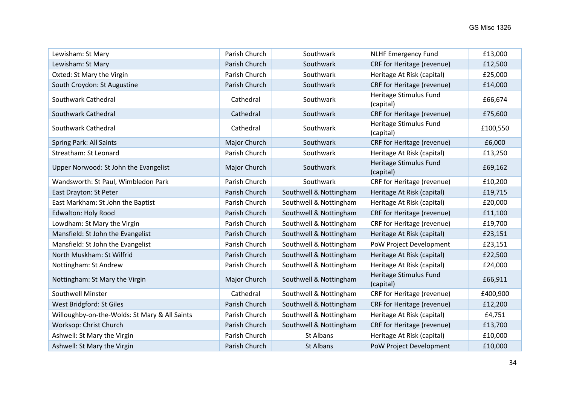| Lewisham: St Mary                             | Parish Church | Southwark              | <b>NLHF Emergency Fund</b>          | £13,000  |
|-----------------------------------------------|---------------|------------------------|-------------------------------------|----------|
| Lewisham: St Mary                             | Parish Church | Southwark              | CRF for Heritage (revenue)          | £12,500  |
| Oxted: St Mary the Virgin                     | Parish Church | Southwark              | Heritage At Risk (capital)          | £25,000  |
| South Croydon: St Augustine                   | Parish Church | Southwark              | CRF for Heritage (revenue)          | £14,000  |
| Southwark Cathedral                           | Cathedral     | Southwark              | Heritage Stimulus Fund<br>(capital) | £66,674  |
| Southwark Cathedral                           | Cathedral     | Southwark              | CRF for Heritage (revenue)          | £75,600  |
| Southwark Cathedral                           | Cathedral     | Southwark              | Heritage Stimulus Fund<br>(capital) | £100,550 |
| Spring Park: All Saints                       | Major Church  | Southwark              | CRF for Heritage (revenue)          | £6,000   |
| Streatham: St Leonard                         | Parish Church | Southwark              | Heritage At Risk (capital)          | £13,250  |
| Upper Norwood: St John the Evangelist         | Major Church  | Southwark              | Heritage Stimulus Fund<br>(capital) | £69,162  |
| Wandsworth: St Paul, Wimbledon Park           | Parish Church | Southwark              | CRF for Heritage (revenue)          | £10,200  |
| East Drayton: St Peter                        | Parish Church | Southwell & Nottingham | Heritage At Risk (capital)          | £19,715  |
| East Markham: St John the Baptist             | Parish Church | Southwell & Nottingham | Heritage At Risk (capital)          | £20,000  |
| <b>Edwalton: Holy Rood</b>                    | Parish Church | Southwell & Nottingham | CRF for Heritage (revenue)          | £11,100  |
| Lowdham: St Mary the Virgin                   | Parish Church | Southwell & Nottingham | CRF for Heritage (revenue)          | £19,700  |
| Mansfield: St John the Evangelist             | Parish Church | Southwell & Nottingham | Heritage At Risk (capital)          | £23,151  |
| Mansfield: St John the Evangelist             | Parish Church | Southwell & Nottingham | PoW Project Development             | £23,151  |
| North Muskham: St Wilfrid                     | Parish Church | Southwell & Nottingham | Heritage At Risk (capital)          | £22,500  |
| Nottingham: St Andrew                         | Parish Church | Southwell & Nottingham | Heritage At Risk (capital)          | £24,000  |
| Nottingham: St Mary the Virgin                | Major Church  | Southwell & Nottingham | Heritage Stimulus Fund<br>(capital) | £66,911  |
| <b>Southwell Minster</b>                      | Cathedral     | Southwell & Nottingham | CRF for Heritage (revenue)          | £400,900 |
| West Bridgford: St Giles                      | Parish Church | Southwell & Nottingham | CRF for Heritage (revenue)          | £12,200  |
| Willoughby-on-the-Wolds: St Mary & All Saints | Parish Church | Southwell & Nottingham | Heritage At Risk (capital)          | £4,751   |
| Worksop: Christ Church                        | Parish Church | Southwell & Nottingham | CRF for Heritage (revenue)          | £13,700  |
| Ashwell: St Mary the Virgin                   | Parish Church | <b>St Albans</b>       | Heritage At Risk (capital)          | £10,000  |
| Ashwell: St Mary the Virgin                   | Parish Church | <b>St Albans</b>       | PoW Project Development             | £10,000  |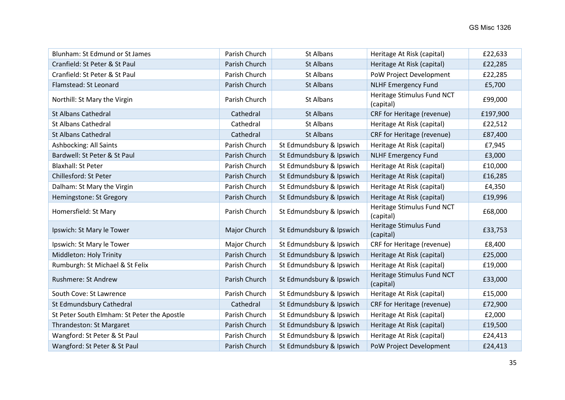| Blunham: St Edmund or St James              | Parish Church | <b>St Albans</b>         | Heritage At Risk (capital)              | £22,633  |
|---------------------------------------------|---------------|--------------------------|-----------------------------------------|----------|
| Cranfield: St Peter & St Paul               | Parish Church | <b>St Albans</b>         | Heritage At Risk (capital)              | £22,285  |
| Cranfield: St Peter & St Paul               | Parish Church | <b>St Albans</b>         | PoW Project Development                 | £22,285  |
| Flamstead: St Leonard                       | Parish Church | <b>St Albans</b>         | <b>NLHF Emergency Fund</b>              | £5,700   |
| Northill: St Mary the Virgin                | Parish Church | <b>St Albans</b>         | Heritage Stimulus Fund NCT<br>(capital) | £99,000  |
| <b>St Albans Cathedral</b>                  | Cathedral     | <b>St Albans</b>         | CRF for Heritage (revenue)              | £197,900 |
| <b>St Albans Cathedral</b>                  | Cathedral     | <b>St Albans</b>         | Heritage At Risk (capital)              | £22,512  |
| <b>St Albans Cathedral</b>                  | Cathedral     | <b>St Albans</b>         | CRF for Heritage (revenue)              | £87,400  |
| <b>Ashbocking: All Saints</b>               | Parish Church | St Edmundsbury & Ipswich | Heritage At Risk (capital)              | £7,945   |
| Bardwell: St Peter & St Paul                | Parish Church | St Edmundsbury & Ipswich | <b>NLHF Emergency Fund</b>              | £3,000   |
| <b>Blaxhall: St Peter</b>                   | Parish Church | St Edmundsbury & Ipswich | Heritage At Risk (capital)              | £10,000  |
| Chillesford: St Peter                       | Parish Church | St Edmundsbury & Ipswich | Heritage At Risk (capital)              | £16,285  |
| Dalham: St Mary the Virgin                  | Parish Church | St Edmundsbury & Ipswich | Heritage At Risk (capital)              | £4,350   |
| Hemingstone: St Gregory                     | Parish Church | St Edmundsbury & Ipswich | Heritage At Risk (capital)              | £19,996  |
| Homersfield: St Mary                        | Parish Church | St Edmundsbury & Ipswich | Heritage Stimulus Fund NCT<br>(capital) | £68,000  |
| Ipswich: St Mary le Tower                   | Major Church  | St Edmundsbury & Ipswich | Heritage Stimulus Fund<br>(capital)     | £33,753  |
| Ipswich: St Mary le Tower                   | Major Church  | St Edmundsbury & Ipswich | CRF for Heritage (revenue)              | £8,400   |
| Middleton: Holy Trinity                     | Parish Church | St Edmundsbury & Ipswich | Heritage At Risk (capital)              | £25,000  |
| Rumburgh: St Michael & St Felix             | Parish Church | St Edmundsbury & Ipswich | Heritage At Risk (capital)              | £19,000  |
| Rushmere: St Andrew                         | Parish Church | St Edmundsbury & Ipswich | Heritage Stimulus Fund NCT<br>(capital) | £33,000  |
| South Cove: St Lawrence                     | Parish Church | St Edmundsbury & Ipswich | Heritage At Risk (capital)              | £15,000  |
| St Edmundsbury Cathedral                    | Cathedral     | St Edmundsbury & Ipswich | CRF for Heritage (revenue)              | £72,900  |
| St Peter South Elmham: St Peter the Apostle | Parish Church | St Edmundsbury & Ipswich | Heritage At Risk (capital)              | £2,000   |
| Thrandeston: St Margaret                    | Parish Church | St Edmundsbury & Ipswich | Heritage At Risk (capital)              | £19,500  |
| Wangford: St Peter & St Paul                | Parish Church | St Edmundsbury & Ipswich | Heritage At Risk (capital)              | £24,413  |
| Wangford: St Peter & St Paul                | Parish Church | St Edmundsbury & Ipswich | PoW Project Development                 | £24,413  |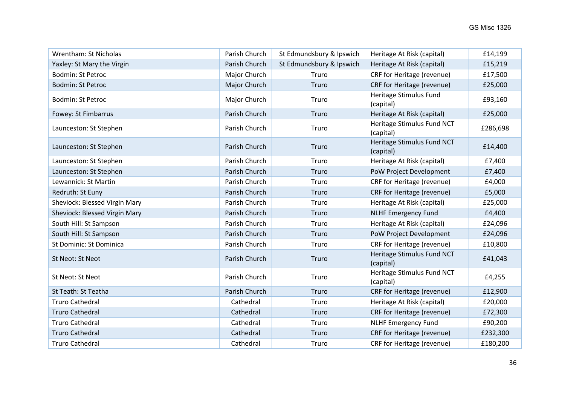| <b>Wrentham: St Nicholas</b>  | Parish Church | St Edmundsbury & Ipswich | Heritage At Risk (capital)              | £14,199  |
|-------------------------------|---------------|--------------------------|-----------------------------------------|----------|
| Yaxley: St Mary the Virgin    | Parish Church | St Edmundsbury & Ipswich | Heritage At Risk (capital)              | £15,219  |
| Bodmin: St Petroc             | Major Church  | Truro                    | CRF for Heritage (revenue)              | £17,500  |
| <b>Bodmin: St Petroc</b>      | Major Church  | Truro                    | CRF for Heritage (revenue)              | £25,000  |
| Bodmin: St Petroc             | Major Church  | Truro                    | Heritage Stimulus Fund<br>(capital)     | £93,160  |
| Fowey: St Fimbarrus           | Parish Church | Truro                    | Heritage At Risk (capital)              | £25,000  |
| Launceston: St Stephen        | Parish Church | Truro                    | Heritage Stimulus Fund NCT<br>(capital) | £286,698 |
| Launceston: St Stephen        | Parish Church | Truro                    | Heritage Stimulus Fund NCT<br>(capital) | £14,400  |
| Launceston: St Stephen        | Parish Church | Truro                    | Heritage At Risk (capital)              | £7,400   |
| Launceston: St Stephen        | Parish Church | Truro                    | PoW Project Development                 | £7,400   |
| Lewannick: St Martin          | Parish Church | Truro                    | CRF for Heritage (revenue)              | £4,000   |
| Redruth: St Euny              | Parish Church | Truro                    | CRF for Heritage (revenue)              | £5,000   |
| Sheviock: Blessed Virgin Mary | Parish Church | Truro                    | Heritage At Risk (capital)              | £25,000  |
| Sheviock: Blessed Virgin Mary | Parish Church | Truro                    | <b>NLHF Emergency Fund</b>              | £4,400   |
| South Hill: St Sampson        | Parish Church | Truro                    | Heritage At Risk (capital)              | £24,096  |
| South Hill: St Sampson        | Parish Church | Truro                    | PoW Project Development                 | £24,096  |
| St Dominic: St Dominica       | Parish Church | Truro                    | CRF for Heritage (revenue)              | £10,800  |
| St Neot: St Neot              | Parish Church | Truro                    | Heritage Stimulus Fund NCT<br>(capital) | £41,043  |
| St Neot: St Neot              | Parish Church | Truro                    | Heritage Stimulus Fund NCT<br>(capital) | £4,255   |
| St Teath: St Teatha           | Parish Church | Truro                    | CRF for Heritage (revenue)              | £12,900  |
| <b>Truro Cathedral</b>        | Cathedral     | Truro                    | Heritage At Risk (capital)              | £20,000  |
| <b>Truro Cathedral</b>        | Cathedral     | Truro                    | CRF for Heritage (revenue)              | £72,300  |
| <b>Truro Cathedral</b>        | Cathedral     | Truro                    | <b>NLHF Emergency Fund</b>              | £90,200  |
| <b>Truro Cathedral</b>        | Cathedral     | Truro                    | CRF for Heritage (revenue)              | £232,300 |
| <b>Truro Cathedral</b>        | Cathedral     | Truro                    | CRF for Heritage (revenue)              | £180,200 |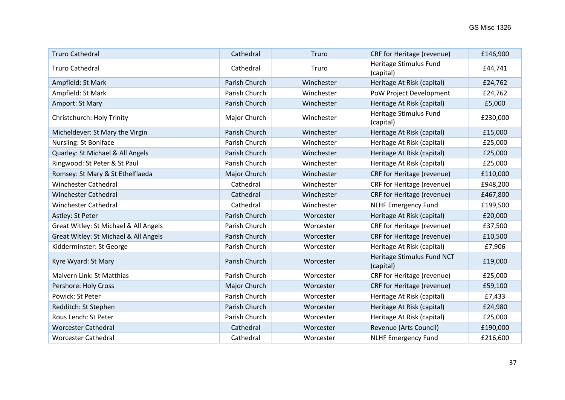| <b>Truro Cathedral</b>                | Cathedral     | Truro      | CRF for Heritage (revenue)              | £146,900 |
|---------------------------------------|---------------|------------|-----------------------------------------|----------|
| <b>Truro Cathedral</b>                | Cathedral     | Truro      | Heritage Stimulus Fund<br>(capital)     | £44,741  |
| Ampfield: St Mark                     | Parish Church | Winchester | Heritage At Risk (capital)              | £24,762  |
| Ampfield: St Mark                     | Parish Church | Winchester | PoW Project Development                 | £24,762  |
| Amport: St Mary                       | Parish Church | Winchester | Heritage At Risk (capital)              | £5,000   |
| Christchurch: Holy Trinity            | Major Church  | Winchester | Heritage Stimulus Fund<br>(capital)     | £230,000 |
| Micheldever: St Mary the Virgin       | Parish Church | Winchester | Heritage At Risk (capital)              | £15,000  |
| Nursling: St Boniface                 | Parish Church | Winchester | Heritage At Risk (capital)              | £25,000  |
| Quarley: St Michael & All Angels      | Parish Church | Winchester | Heritage At Risk (capital)              | £25,000  |
| Ringwood: St Peter & St Paul          | Parish Church | Winchester | Heritage At Risk (capital)              | £25,000  |
| Romsey: St Mary & St Ethelflaeda      | Major Church  | Winchester | CRF for Heritage (revenue)              | £110,000 |
| <b>Winchester Cathedral</b>           | Cathedral     | Winchester | CRF for Heritage (revenue)              | £948,200 |
| <b>Winchester Cathedral</b>           | Cathedral     | Winchester | CRF for Heritage (revenue)              | £467,800 |
| <b>Winchester Cathedral</b>           | Cathedral     | Winchester | <b>NLHF Emergency Fund</b>              | £199,500 |
| Astley: St Peter                      | Parish Church | Worcester  | Heritage At Risk (capital)              | £20,000  |
| Great Witley: St Michael & All Angels | Parish Church | Worcester  | CRF for Heritage (revenue)              | £37,500  |
| Great Witley: St Michael & All Angels | Parish Church | Worcester  | CRF for Heritage (revenue)              | £10,500  |
| Kidderminster: St George              | Parish Church | Worcester  | Heritage At Risk (capital)              | £7,906   |
| Kyre Wyard: St Mary                   | Parish Church | Worcester  | Heritage Stimulus Fund NCT<br>(capital) | £19,000  |
| Malvern Link: St Matthias             | Parish Church | Worcester  | CRF for Heritage (revenue)              | £25,000  |
| Pershore: Holy Cross                  | Major Church  | Worcester  | CRF for Heritage (revenue)              | £59,100  |
| Powick: St Peter                      | Parish Church | Worcester  | Heritage At Risk (capital)              | £7,433   |
| Redditch: St Stephen                  | Parish Church | Worcester  | Heritage At Risk (capital)              | £24,980  |
| Rous Lench: St Peter                  | Parish Church | Worcester  | Heritage At Risk (capital)              | £25,000  |
| <b>Worcester Cathedral</b>            | Cathedral     | Worcester  | Revenue (Arts Council)                  | £190,000 |
| <b>Worcester Cathedral</b>            | Cathedral     | Worcester  | <b>NLHF Emergency Fund</b>              | £216,600 |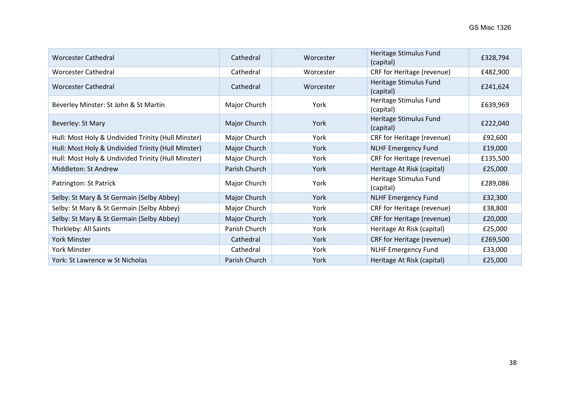| <b>Worcester Cathedral</b>                         | Cathedral     | Worcester | Heritage Stimulus Fund<br>(capital) | £328,794 |
|----------------------------------------------------|---------------|-----------|-------------------------------------|----------|
| <b>Worcester Cathedral</b>                         | Cathedral     | Worcester | CRF for Heritage (revenue)          | £482,900 |
| <b>Worcester Cathedral</b>                         | Cathedral     | Worcester | Heritage Stimulus Fund<br>(capital) | £241,624 |
| Beverley Minster: St John & St Martin              | Major Church  | York      | Heritage Stimulus Fund<br>(capital) | £639,969 |
| Beverley: St Mary                                  | Major Church  | York      | Heritage Stimulus Fund<br>(capital) | £222,040 |
| Hull: Most Holy & Undivided Trinity (Hull Minster) | Major Church  | York      | CRF for Heritage (revenue)          | £92,600  |
| Hull: Most Holy & Undivided Trinity (Hull Minster) | Major Church  | York      | <b>NLHF Emergency Fund</b>          | £19,000  |
| Hull: Most Holy & Undivided Trinity (Hull Minster) | Major Church  | York      | CRF for Heritage (revenue)          | £135,500 |
| Middleton: St Andrew                               | Parish Church | York      | Heritage At Risk (capital)          | £25,000  |
| Patrington: St Patrick                             | Major Church  | York      | Heritage Stimulus Fund<br>(capital) | £289,086 |
| Selby: St Mary & St Germain (Selby Abbey)          | Major Church  | York      | <b>NLHF Emergency Fund</b>          | £32,300  |
| Selby: St Mary & St Germain (Selby Abbey)          | Major Church  | York      | CRF for Heritage (revenue)          | £38,800  |
| Selby: St Mary & St Germain (Selby Abbey)          | Major Church  | York      | CRF for Heritage (revenue)          | £20,000  |
| Thirkleby: All Saints                              | Parish Church | York      | Heritage At Risk (capital)          | £25,000  |
| <b>York Minster</b>                                | Cathedral     | York      | CRF for Heritage (revenue)          | £269,500 |
| <b>York Minster</b>                                | Cathedral     | York      | <b>NLHF Emergency Fund</b>          | £33,000  |
| York: St Lawrence w St Nicholas                    | Parish Church | York      | Heritage At Risk (capital)          | £25,000  |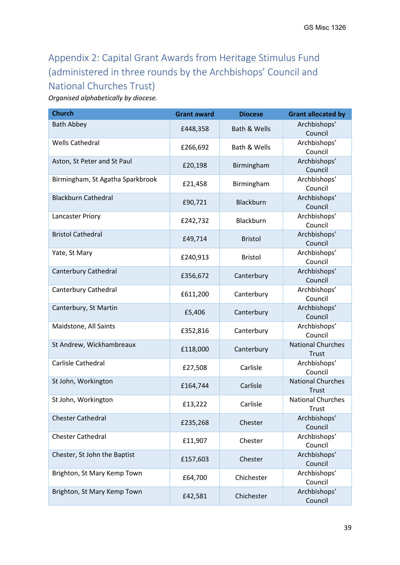# <span id="page-38-0"></span>Appendix 2: Capital Grant Awards from Heritage Stimulus Fund (administered in three rounds by the Archbishops' Council and National Churches Trust)

*Organised alphabetically by diocese.*

| <b>Church</b>                    | <b>Grant award</b> | <b>Diocese</b> | <b>Grant allocated by</b>         |
|----------------------------------|--------------------|----------------|-----------------------------------|
| <b>Bath Abbey</b>                | £448,358           | Bath & Wells   | Archbishops'<br>Council           |
| <b>Wells Cathedral</b>           | £266,692           | Bath & Wells   | Archbishops'<br>Council           |
| Aston, St Peter and St Paul      | £20,198            | Birmingham     | Archbishops'<br>Council           |
| Birmingham, St Agatha Sparkbrook | £21,458            | Birmingham     | Archbishops'<br>Council           |
| <b>Blackburn Cathedral</b>       | £90,721            | Blackburn      | Archbishops'<br>Council           |
| Lancaster Priory                 | £242,732           | Blackburn      | Archbishops'<br>Council           |
| <b>Bristol Cathedral</b>         | £49,714            | <b>Bristol</b> | Archbishops'<br>Council           |
| Yate, St Mary                    | £240,913           | <b>Bristol</b> | Archbishops'<br>Council           |
| Canterbury Cathedral             | £356,672           | Canterbury     | Archbishops'<br>Council           |
| Canterbury Cathedral             | £611,200           | Canterbury     | Archbishops'<br>Council           |
| Canterbury, St Martin            | £5,406             | Canterbury     | Archbishops'<br>Council           |
| Maidstone, All Saints            | £352,816           | Canterbury     | Archbishops'<br>Council           |
| St Andrew, Wickhambreaux         | £118,000           | Canterbury     | <b>National Churches</b><br>Trust |
| Carlisle Cathedral               | £27,508            | Carlisle       | Archbishops'<br>Council           |
| St John, Workington              | £164,744           | Carlisle       | <b>National Churches</b><br>Trust |
| St John, Workington              | £13,222            | Carlisle       | <b>National Churches</b><br>Trust |
| <b>Chester Cathedral</b>         | £235,268           | Chester        | Archbishops'<br>Council           |
| <b>Chester Cathedral</b>         | £11,907            | Chester        | Archbishops'<br>Council           |
| Chester, St John the Baptist     | £157,603           | Chester        | Archbishops'<br>Council           |
| Brighton, St Mary Kemp Town      | £64,700            | Chichester     | Archbishops'<br>Council           |
| Brighton, St Mary Kemp Town      | £42,581            | Chichester     | Archbishops'<br>Council           |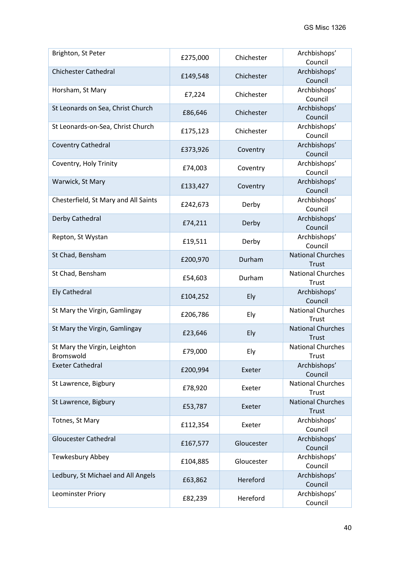| Brighton, St Peter                        | £275,000 | Chichester | Archbishops'<br>Council                  |
|-------------------------------------------|----------|------------|------------------------------------------|
| <b>Chichester Cathedral</b>               | £149,548 | Chichester | Archbishops'<br>Council                  |
| Horsham, St Mary                          | £7,224   | Chichester | Archbishops'<br>Council                  |
| St Leonards on Sea, Christ Church         | £86,646  | Chichester | Archbishops'<br>Council                  |
| St Leonards-on-Sea, Christ Church         | £175,123 | Chichester | Archbishops'<br>Council                  |
| <b>Coventry Cathedral</b>                 | £373,926 | Coventry   | Archbishops'<br>Council                  |
| Coventry, Holy Trinity                    | £74,003  | Coventry   | Archbishops'<br>Council                  |
| Warwick, St Mary                          | £133,427 | Coventry   | Archbishops'<br>Council                  |
| Chesterfield, St Mary and All Saints      | £242,673 | Derby      | Archbishops'<br>Council                  |
| Derby Cathedral                           | £74,211  | Derby      | Archbishops'<br>Council                  |
| Repton, St Wystan                         | £19,511  | Derby      | Archbishops'<br>Council                  |
| St Chad, Bensham                          | £200,970 | Durham     | <b>National Churches</b><br><b>Trust</b> |
| St Chad, Bensham                          | £54,603  | Durham     | <b>National Churches</b><br>Trust        |
| <b>Ely Cathedral</b>                      | £104,252 | Ely        | Archbishops'<br>Council                  |
| St Mary the Virgin, Gamlingay             | £206,786 | Ely        | <b>National Churches</b><br>Trust        |
| St Mary the Virgin, Gamlingay             | £23,646  | Ely        | <b>National Churches</b><br><b>Trust</b> |
| St Mary the Virgin, Leighton<br>Bromswold | £79,000  | Ely        | <b>National Churches</b><br>Trust        |
| <b>Exeter Cathedral</b>                   | £200,994 | Exeter     | Archbishops'<br>Council                  |
| St Lawrence, Bigbury                      | £78,920  | Exeter     | <b>National Churches</b><br>Trust        |
| St Lawrence, Bigbury                      | £53,787  | Exeter     | <b>National Churches</b><br><b>Trust</b> |
| Totnes, St Mary                           | £112,354 | Exeter     | Archbishops'<br>Council                  |
| <b>Gloucester Cathedral</b>               | £167,577 | Gloucester | Archbishops'<br>Council                  |
| Tewkesbury Abbey                          | £104,885 | Gloucester | Archbishops'<br>Council                  |
| Ledbury, St Michael and All Angels        | £63,862  | Hereford   | Archbishops'<br>Council                  |
| Leominster Priory                         | £82,239  | Hereford   | Archbishops'<br>Council                  |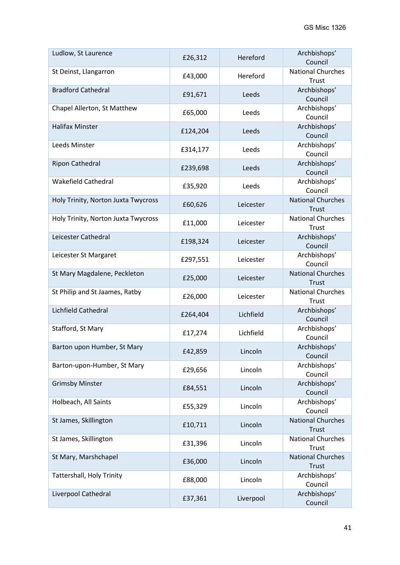| Ludlow, St Laurence                 | £26,312  | Hereford  | Archbishops'<br>Council                  |
|-------------------------------------|----------|-----------|------------------------------------------|
| St Deinst, Llangarron               | £43,000  | Hereford  | <b>National Churches</b><br>Trust        |
| <b>Bradford Cathedral</b>           | £91,671  | Leeds     | Archbishops'<br>Council                  |
| Chapel Allerton, St Matthew         | £65,000  | Leeds     | Archbishops'<br>Council                  |
| <b>Halifax Minster</b>              | £124,204 | Leeds     | Archbishops'<br>Council                  |
| Leeds Minster                       | £314,177 | Leeds     | Archbishops'<br>Council                  |
| <b>Ripon Cathedral</b>              | £239,698 | Leeds     | Archbishops'<br>Council                  |
| <b>Wakefield Cathedral</b>          | £35,920  | Leeds     | Archbishops'<br>Council                  |
| Holy Trinity, Norton Juxta Twycross | £60,626  | Leicester | <b>National Churches</b><br>Trust        |
| Holy Trinity, Norton Juxta Twycross | £11,000  | Leicester | <b>National Churches</b><br>Trust        |
| Leicester Cathedral                 | £198,324 | Leicester | Archbishops'<br>Council                  |
| Leicester St Margaret               | £297,551 | Leicester | Archbishops'<br>Council                  |
| St Mary Magdalene, Peckleton        | £25,000  | Leicester | <b>National Churches</b><br><b>Trust</b> |
| St Philip and St Jaames, Ratby      | £26,000  | Leicester | <b>National Churches</b><br>Trust        |
| Lichfield Cathedral                 | £264,404 | Lichfield | Archbishops'<br>Council                  |
| Stafford, St Mary                   | £17,274  | Lichfield | Archbishops'<br>Council                  |
| Barton upon Humber, St Mary         | £42,859  | Lincoln   | Archbishops'<br>Council                  |
| Barton-upon-Humber, St Mary         | £29,656  | Lincoln   | Archbishops'<br>Council                  |
| <b>Grimsby Minster</b>              | £84,551  | Lincoln   | Archbishops'<br>Council                  |
| Holbeach, All Saints                | £55,329  | Lincoln   | Archbishops'<br>Council                  |
| St James, Skillington               | £10,711  | Lincoln   | <b>National Churches</b><br><b>Trust</b> |
| St James, Skillington               | £31,396  | Lincoln   | <b>National Churches</b><br>Trust        |
| St Mary, Marshchapel                | £36,000  | Lincoln   | <b>National Churches</b><br>Trust        |
| Tattershall, Holy Trinity           | £88,000  | Lincoln   | Archbishops'<br>Council                  |
| Liverpool Cathedral                 | £37,361  | Liverpool | Archbishops'<br>Council                  |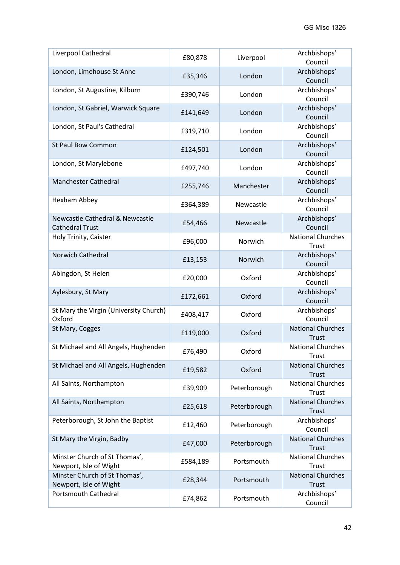| Liverpool Cathedral                                                  | £80,878  | Liverpool    | Archbishops'<br>Council                  |
|----------------------------------------------------------------------|----------|--------------|------------------------------------------|
| London, Limehouse St Anne                                            | £35,346  | London       | Archbishops'<br>Council                  |
| London, St Augustine, Kilburn                                        | £390,746 | London       | Archbishops'<br>Council                  |
| London, St Gabriel, Warwick Square                                   | £141,649 | London       | Archbishops'<br>Council                  |
| London, St Paul's Cathedral                                          | £319,710 | London       | Archbishops'<br>Council                  |
| <b>St Paul Bow Common</b>                                            | £124,501 | London       | Archbishops'<br>Council                  |
| London, St Marylebone                                                | £497,740 | London       | Archbishops'<br>Council                  |
| <b>Manchester Cathedral</b>                                          | £255,746 | Manchester   | Archbishops'<br>Council                  |
| Hexham Abbey                                                         | £364,389 | Newcastle    | Archbishops'<br>Council                  |
| <b>Newcastle Cathedral &amp; Newcastle</b><br><b>Cathedral Trust</b> | £54,466  | Newcastle    | Archbishops'<br>Council                  |
| Holy Trinity, Caister                                                | £96,000  | Norwich      | <b>National Churches</b><br>Trust        |
| <b>Norwich Cathedral</b>                                             | £13,153  | Norwich      | Archbishops'<br>Council                  |
| Abingdon, St Helen                                                   | £20,000  | Oxford       | Archbishops'<br>Council                  |
| Aylesbury, St Mary                                                   | £172,661 | Oxford       | Archbishops'<br>Council                  |
| St Mary the Virgin (University Church)<br>Oxford                     | £408,417 | Oxford       | Archbishops'<br>Council                  |
| St Mary, Cogges                                                      | £119,000 | Oxford       | <b>National Churches</b><br><b>Trust</b> |
| St Michael and All Angels, Hughenden                                 | £76,490  | Oxford       | <b>National Churches</b><br>Trust        |
| St Michael and All Angels, Hughenden                                 | £19,582  | Oxford       | <b>National Churches</b><br>Trust        |
| All Saints, Northampton                                              | £39,909  | Peterborough | <b>National Churches</b><br>Trust        |
| All Saints, Northampton                                              | £25,618  | Peterborough | <b>National Churches</b><br>Trust        |
| Peterborough, St John the Baptist                                    | £12,460  | Peterborough | Archbishops'<br>Council                  |
| St Mary the Virgin, Badby                                            | £47,000  | Peterborough | <b>National Churches</b><br><b>Trust</b> |
| Minster Church of St Thomas',<br>Newport, Isle of Wight              | £584,189 | Portsmouth   | <b>National Churches</b><br>Trust        |
| Minster Church of St Thomas',<br>Newport, Isle of Wight              | £28,344  | Portsmouth   | <b>National Churches</b><br>Trust        |
| <b>Portsmouth Cathedral</b>                                          | £74,862  | Portsmouth   | Archbishops'<br>Council                  |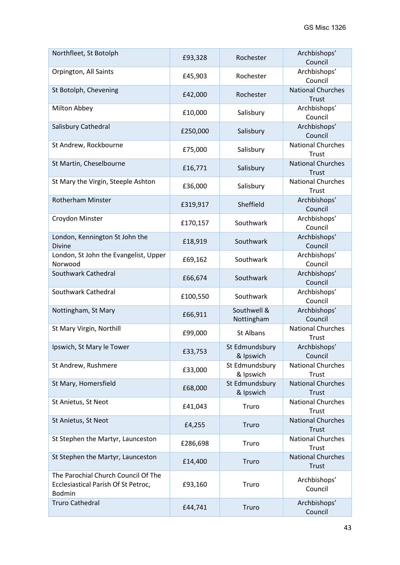| Northfleet, St Botolph                                                               | £93,328  | Rochester                   | Archbishops'<br>Council           |
|--------------------------------------------------------------------------------------|----------|-----------------------------|-----------------------------------|
| Orpington, All Saints                                                                | £45,903  | Rochester                   | Archbishops'<br>Council           |
| St Botolph, Chevening                                                                | £42,000  | Rochester                   | <b>National Churches</b><br>Trust |
| Milton Abbey                                                                         | £10,000  | Salisbury                   | Archbishops'<br>Council           |
| Salisbury Cathedral                                                                  | £250,000 | Salisbury                   | Archbishops'<br>Council           |
| St Andrew, Rockbourne                                                                | £75,000  | Salisbury                   | <b>National Churches</b><br>Trust |
| St Martin, Cheselbourne                                                              | £16,771  | Salisbury                   | <b>National Churches</b><br>Trust |
| St Mary the Virgin, Steeple Ashton                                                   | £36,000  | Salisbury                   | <b>National Churches</b><br>Trust |
| <b>Rotherham Minster</b>                                                             | £319,917 | Sheffield                   | Archbishops'<br>Council           |
| Croydon Minster                                                                      | £170,157 | Southwark                   | Archbishops'<br>Council           |
| London, Kennington St John the<br><b>Divine</b>                                      | £18,919  | Southwark                   | Archbishops'<br>Council           |
| London, St John the Evangelist, Upper<br>Norwood                                     | £69,162  | Southwark                   | Archbishops'<br>Council           |
| Southwark Cathedral                                                                  | £66,674  | Southwark                   | Archbishops'<br>Council           |
| Southwark Cathedral                                                                  | £100,550 | Southwark                   | Archbishops'<br>Council           |
| Nottingham, St Mary                                                                  | £66,911  | Southwell &<br>Nottingham   | Archbishops'<br>Council           |
| St Mary Virgin, Northill                                                             | £99,000  | St Albans                   | <b>National Churches</b><br>Trust |
| Ipswich, St Mary le Tower                                                            | £33,753  | St Edmundsbury<br>& Ipswich | Archbishops'<br>Council           |
| St Andrew, Rushmere                                                                  | £33,000  | St Edmundsbury<br>& Ipswich | <b>National Churches</b><br>Trust |
| St Mary, Homersfield                                                                 | £68,000  | St Edmundsbury<br>& Ipswich | <b>National Churches</b><br>Trust |
| St Anietus, St Neot                                                                  | £41,043  | Truro                       | <b>National Churches</b><br>Trust |
| St Anietus, St Neot                                                                  | £4,255   | Truro                       | <b>National Churches</b><br>Trust |
| St Stephen the Martyr, Launceston                                                    | £286,698 | Truro                       | <b>National Churches</b><br>Trust |
| St Stephen the Martyr, Launceston                                                    | £14,400  | Truro                       | <b>National Churches</b><br>Trust |
| The Parochial Church Council Of The<br>Ecclesiastical Parish Of St Petroc,<br>Bodmin | £93,160  | Truro                       | Archbishops'<br>Council           |
| <b>Truro Cathedral</b>                                                               | £44,741  | Truro                       | Archbishops'<br>Council           |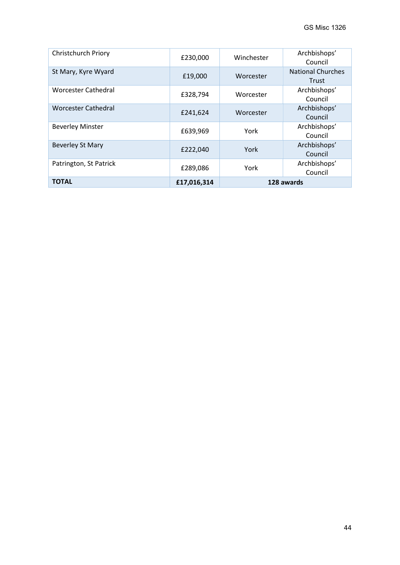<span id="page-43-0"></span>

| <b>Christchurch Priory</b> | £230,000    | Winchester | Archbishops'<br>Council           |
|----------------------------|-------------|------------|-----------------------------------|
| St Mary, Kyre Wyard        | £19,000     | Worcester  | <b>National Churches</b><br>Trust |
| <b>Worcester Cathedral</b> | £328,794    | Worcester  | Archbishops'<br>Council           |
| <b>Worcester Cathedral</b> | £241,624    | Worcester  | Archbishops'<br>Council           |
| <b>Beverley Minster</b>    | £639,969    | York       | Archbishops'<br>Council           |
| <b>Beverley St Mary</b>    | £222,040    | York       | Archbishops'<br>Council           |
| Patrington, St Patrick     | £289,086    | York       | Archbishops'<br>Council           |
| <b>TOTAL</b>               | £17,016,314 |            | 128 awards                        |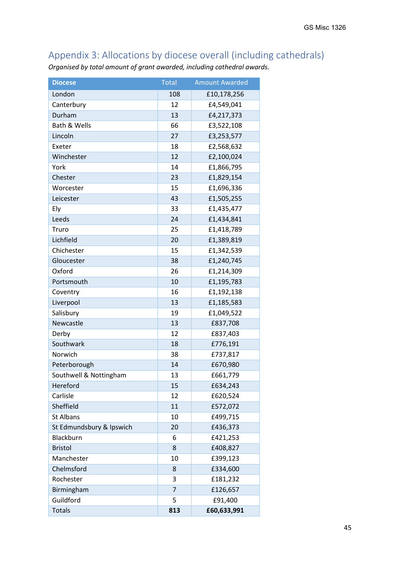## Appendix 3: Allocations by diocese overall (including cathedrals)

*Organised by total amount of grant awarded, including cathedral awards.* 

| <b>Diocese</b>           | <b>Total</b>   | <b>Amount Awarded</b> |
|--------------------------|----------------|-----------------------|
| London                   | 108            | £10,178,256           |
| Canterbury               | 12             | £4,549,041            |
| Durham                   | 13             | £4,217,373            |
| Bath & Wells             | 66             | £3,522,108            |
| Lincoln                  | 27             | £3,253,577            |
| Exeter                   | 18             | £2,568,632            |
| Winchester               | 12             | £2,100,024            |
| York                     | 14             | £1,866,795            |
| Chester                  | 23             | £1,829,154            |
| Worcester                | 15             | £1,696,336            |
| Leicester                | 43             | £1,505,255            |
| Ely                      | 33             | £1,435,477            |
| Leeds                    | 24             | £1,434,841            |
| Truro                    | 25             | £1,418,789            |
| Lichfield                | 20             | £1,389,819            |
| Chichester               | 15             | £1,342,539            |
| Gloucester               | 38             | £1,240,745            |
| Oxford                   | 26             | £1,214,309            |
| Portsmouth               | 10             | £1,195,783            |
| Coventry                 | 16             | £1,192,138            |
| Liverpool                | 13             | £1,185,583            |
| Salisbury                | 19             | £1,049,522            |
| Newcastle                | 13             | £837,708              |
| Derby                    | 12             | £837,403              |
| Southwark                | 18             | £776,191              |
| Norwich                  | 38             | £737,817              |
| Peterborough             | 14             | £670,980              |
| Southwell & Nottingham   | 13             | £661,779              |
| Hereford                 | 15             | £634,243              |
| Carlisle                 | 12             | £620,524              |
| Sheffield                | 11             | £572,072              |
| <b>St Albans</b>         | 10             | £499,715              |
| St Edmundsbury & Ipswich | 20             | £436,373              |
| Blackburn                | 6              | £421,253              |
| <b>Bristol</b>           | 8              | £408,827              |
| Manchester               | 10             | £399,123              |
| Chelmsford               | 8              | £334,600              |
| Rochester                | 3              | £181,232              |
| Birmingham               | $\overline{7}$ | £126,657              |
| Guildford                | 5              | £91,400               |
| <b>Totals</b>            | 813            | £60,633,991           |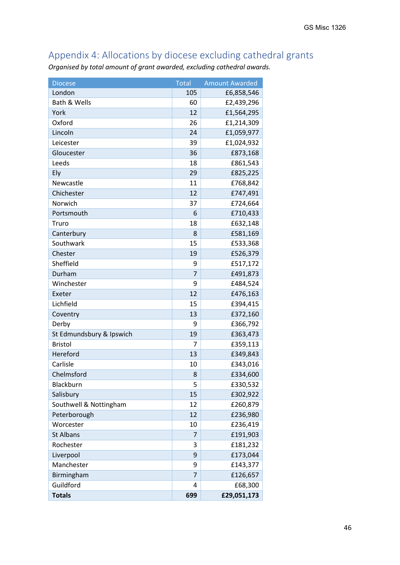## <span id="page-45-0"></span>Appendix 4: Allocations by diocese excluding cathedral grants

*Organised by total amount of grant awarded, excluding cathedral awards.* 

<span id="page-45-1"></span>

| <b>Diocese</b>           | <b>Total</b>   | <b>Amount Awarded</b> |
|--------------------------|----------------|-----------------------|
| London                   | 105            | £6,858,546            |
| Bath & Wells             | 60             | £2,439,296            |
| York                     | 12             | £1,564,295            |
| Oxford                   | 26             | £1,214,309            |
| Lincoln                  | 24             | £1,059,977            |
| Leicester                | 39             | £1,024,932            |
| Gloucester               | 36             | £873,168              |
| Leeds                    | 18             | £861,543              |
| Ely                      | 29             | £825,225              |
| Newcastle                | 11             | £768,842              |
| Chichester               | 12             | £747,491              |
| Norwich                  | 37             | £724,664              |
| Portsmouth               | 6              | £710,433              |
| Truro                    | 18             | £632,148              |
| Canterbury               | 8              | £581,169              |
| Southwark                | 15             | £533,368              |
| Chester                  | 19             | £526,379              |
| Sheffield                | 9              | £517,172              |
| Durham                   | $\overline{7}$ | £491,873              |
| Winchester               | 9              | £484,524              |
| Exeter                   | 12             | £476,163              |
| Lichfield                | 15             | £394,415              |
| Coventry                 | 13             | £372,160              |
| Derby                    | 9              | £366,792              |
| St Edmundsbury & Ipswich | 19             | £363,473              |
| <b>Bristol</b>           | 7              | £359,113              |
| Hereford                 | 13             | £349,843              |
| Carlisle                 | 10             | £343,016              |
| Chelmsford               | 8              | £334,600              |
| Blackburn                | 5              | £330,532              |
| Salisbury                | 15             | £302,922              |
| Southwell & Nottingham   | 12             | £260,879              |
| Peterborough             | 12             | £236,980              |
| Worcester                | 10             | £236,419              |
| <b>St Albans</b>         | $\overline{7}$ | £191,903              |
| Rochester                | 3              | £181,232              |
| Liverpool                | 9              | £173,044              |
| Manchester               | 9              | £143,377              |
| Birmingham               | $\overline{7}$ | £126,657              |
| Guildford                | 4              | £68,300               |
| <b>Totals</b>            | 699            | £29,051,173           |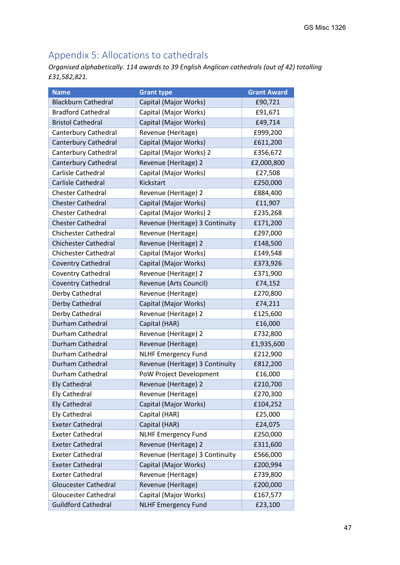## Appendix 5: Allocations to cathedrals

*Organised alphabetically. 114 awards to 39 English Anglican cathedrals (out of 42) totalling £31,582,821.* 

| <b>Name</b>                 | <b>Grant type</b>               | <b>Grant Award</b> |
|-----------------------------|---------------------------------|--------------------|
| <b>Blackburn Cathedral</b>  | Capital (Major Works)           | £90,721            |
| <b>Bradford Cathedral</b>   | Capital (Major Works)           | £91,671            |
| <b>Bristol Cathedral</b>    | Capital (Major Works)           | £49,714            |
| Canterbury Cathedral        | Revenue (Heritage)              | £999,200           |
| Canterbury Cathedral        | Capital (Major Works)           | £611,200           |
| Canterbury Cathedral        | Capital (Major Works) 2         | £356,672           |
| Canterbury Cathedral        | Revenue (Heritage) 2            | £2,000,800         |
| Carlisle Cathedral          | Capital (Major Works)           | £27,508            |
| Carlisle Cathedral          | Kickstart                       | £250,000           |
| <b>Chester Cathedral</b>    | Revenue (Heritage) 2            | £884,400           |
| <b>Chester Cathedral</b>    | Capital (Major Works)           | £11,907            |
| <b>Chester Cathedral</b>    | Capital (Major Works) 2         | £235,268           |
| <b>Chester Cathedral</b>    | Revenue (Heritage) 3 Continuity | £171,200           |
| <b>Chichester Cathedral</b> | Revenue (Heritage)              | £297,000           |
| <b>Chichester Cathedral</b> | Revenue (Heritage) 2            | £148,500           |
| <b>Chichester Cathedral</b> | Capital (Major Works)           | £149,548           |
| <b>Coventry Cathedral</b>   | Capital (Major Works)           | £373,926           |
| Coventry Cathedral          | Revenue (Heritage) 2            | £371,900           |
| <b>Coventry Cathedral</b>   | Revenue (Arts Council)          | £74,152            |
| Derby Cathedral             | Revenue (Heritage)              | £270,800           |
| Derby Cathedral             | Capital (Major Works)           | £74,211            |
| Derby Cathedral             | Revenue (Heritage) 2            | £125,600           |
| Durham Cathedral            | Capital (HAR)                   | £16,000            |
| Durham Cathedral            | Revenue (Heritage) 2            | £732,800           |
| Durham Cathedral            | Revenue (Heritage)              | £1,935,600         |
| Durham Cathedral            | <b>NLHF Emergency Fund</b>      | £212,900           |
| Durham Cathedral            | Revenue (Heritage) 3 Continuity | £812,200           |
| Durham Cathedral            | PoW Project Development         | £16,000            |
| <b>Ely Cathedral</b>        | Revenue (Heritage) 2            | £210,700           |
| <b>Ely Cathedral</b>        | Revenue (Heritage)              | £270,300           |
| <b>Ely Cathedral</b>        | Capital (Major Works)           | £104,252           |
| <b>Ely Cathedral</b>        | Capital (HAR)                   | £25,000            |
| <b>Exeter Cathedral</b>     | Capital (HAR)                   | £24,075            |
| <b>Exeter Cathedral</b>     | <b>NLHF Emergency Fund</b>      | £250,000           |
| <b>Exeter Cathedral</b>     | Revenue (Heritage) 2            | £311,600           |
| <b>Exeter Cathedral</b>     | Revenue (Heritage) 3 Continuity | £566,000           |
| <b>Exeter Cathedral</b>     | Capital (Major Works)           | £200,994           |
| <b>Exeter Cathedral</b>     | Revenue (Heritage)              | £739,800           |
| <b>Gloucester Cathedral</b> | Revenue (Heritage)              | £200,000           |
| <b>Gloucester Cathedral</b> | Capital (Major Works)           | £167,577           |
| <b>Guildford Cathedral</b>  | <b>NLHF Emergency Fund</b>      | £23,100            |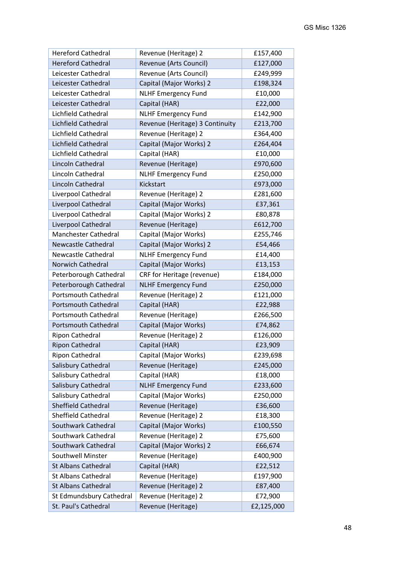| <b>Hereford Cathedral</b>   | Revenue (Heritage) 2            | £157,400   |
|-----------------------------|---------------------------------|------------|
| <b>Hereford Cathedral</b>   | Revenue (Arts Council)          | £127,000   |
| Leicester Cathedral         | Revenue (Arts Council)          | £249,999   |
| Leicester Cathedral         | Capital (Major Works) 2         | £198,324   |
| Leicester Cathedral         | <b>NLHF Emergency Fund</b>      | £10,000    |
| Leicester Cathedral         | Capital (HAR)                   | £22,000    |
| Lichfield Cathedral         | <b>NLHF Emergency Fund</b>      | £142,900   |
| Lichfield Cathedral         | Revenue (Heritage) 3 Continuity | £213,700   |
| Lichfield Cathedral         | Revenue (Heritage) 2            | £364,400   |
| Lichfield Cathedral         | Capital (Major Works) 2         | £264,404   |
| Lichfield Cathedral         | Capital (HAR)                   | £10,000    |
| Lincoln Cathedral           | Revenue (Heritage)              | £970,600   |
| Lincoln Cathedral           | <b>NLHF Emergency Fund</b>      | £250,000   |
| Lincoln Cathedral           | Kickstart                       | £973,000   |
| Liverpool Cathedral         | Revenue (Heritage) 2            | £281,600   |
| Liverpool Cathedral         | Capital (Major Works)           | £37,361    |
| Liverpool Cathedral         | Capital (Major Works) 2         | £80,878    |
| Liverpool Cathedral         | Revenue (Heritage)              | £612,700   |
| <b>Manchester Cathedral</b> | Capital (Major Works)           | £255,746   |
| <b>Newcastle Cathedral</b>  | Capital (Major Works) 2         | £54,466    |
| Newcastle Cathedral         | <b>NLHF Emergency Fund</b>      | £14,400    |
| <b>Norwich Cathedral</b>    | Capital (Major Works)           | £13,153    |
| Peterborough Cathedral      | CRF for Heritage (revenue)      | £184,000   |
| Peterborough Cathedral      | <b>NLHF Emergency Fund</b>      | £250,000   |
| <b>Portsmouth Cathedral</b> | Revenue (Heritage) 2            | £121,000   |
| <b>Portsmouth Cathedral</b> | Capital (HAR)                   | £22,988    |
| <b>Portsmouth Cathedral</b> | Revenue (Heritage)              | £266,500   |
| <b>Portsmouth Cathedral</b> | Capital (Major Works)           | £74,862    |
| Ripon Cathedral             | Revenue (Heritage) 2            | £126,000   |
| <b>Ripon Cathedral</b>      | Capital (HAR)                   | £23,909    |
| <b>Ripon Cathedral</b>      | Capital (Major Works)           | £239,698   |
| Salisbury Cathedral         | Revenue (Heritage)              | £245,000   |
| Salisbury Cathedral         | Capital (HAR)                   | £18,000    |
| Salisbury Cathedral         | <b>NLHF Emergency Fund</b>      | £233,600   |
| Salisbury Cathedral         | Capital (Major Works)           | £250,000   |
| Sheffield Cathedral         | Revenue (Heritage)              | £36,600    |
| Sheffield Cathedral         | Revenue (Heritage) 2            | £18,300    |
| Southwark Cathedral         | Capital (Major Works)           | £100,550   |
| Southwark Cathedral         | Revenue (Heritage) 2            | £75,600    |
| Southwark Cathedral         | Capital (Major Works) 2         | £66,674    |
| Southwell Minster           | Revenue (Heritage)              | £400,900   |
| <b>St Albans Cathedral</b>  | Capital (HAR)                   | £22,512    |
| <b>St Albans Cathedral</b>  | Revenue (Heritage)              | £197,900   |
| <b>St Albans Cathedral</b>  | Revenue (Heritage) 2            | £87,400    |
| St Edmundsbury Cathedral    | Revenue (Heritage) 2            | £72,900    |
| St. Paul's Cathedral        | Revenue (Heritage)              | £2,125,000 |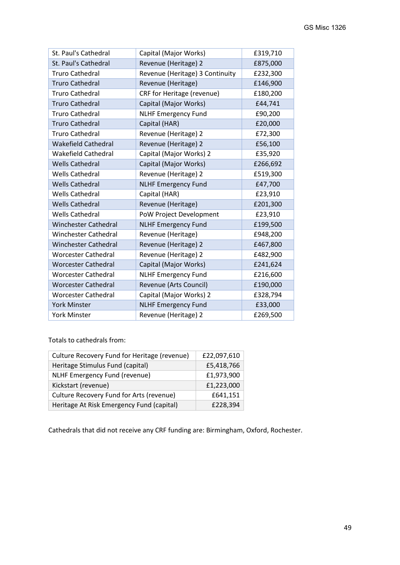| St. Paul's Cathedral        | Capital (Major Works)           | £319,710 |
|-----------------------------|---------------------------------|----------|
| St. Paul's Cathedral        | Revenue (Heritage) 2            | £875,000 |
| <b>Truro Cathedral</b>      | Revenue (Heritage) 3 Continuity | £232,300 |
| <b>Truro Cathedral</b>      | Revenue (Heritage)              | £146,900 |
| <b>Truro Cathedral</b>      | CRF for Heritage (revenue)      | £180,200 |
| <b>Truro Cathedral</b>      | Capital (Major Works)           | £44,741  |
| <b>Truro Cathedral</b>      | <b>NLHF Emergency Fund</b>      | £90,200  |
| <b>Truro Cathedral</b>      | Capital (HAR)                   | £20,000  |
| <b>Truro Cathedral</b>      | Revenue (Heritage) 2            | £72,300  |
| <b>Wakefield Cathedral</b>  | Revenue (Heritage) 2            | £56,100  |
| <b>Wakefield Cathedral</b>  | Capital (Major Works) 2         | £35,920  |
| <b>Wells Cathedral</b>      | Capital (Major Works)           | £266,692 |
| <b>Wells Cathedral</b>      | Revenue (Heritage) 2            | £519,300 |
| <b>Wells Cathedral</b>      | <b>NLHF Emergency Fund</b>      | £47,700  |
| <b>Wells Cathedral</b>      | Capital (HAR)                   | £23,910  |
| <b>Wells Cathedral</b>      | Revenue (Heritage)              | £201,300 |
| <b>Wells Cathedral</b>      | PoW Project Development         | £23,910  |
| <b>Winchester Cathedral</b> | <b>NLHF Emergency Fund</b>      | £199,500 |
| <b>Winchester Cathedral</b> | Revenue (Heritage)              | £948,200 |
| <b>Winchester Cathedral</b> | Revenue (Heritage) 2            | £467,800 |
| <b>Worcester Cathedral</b>  | Revenue (Heritage) 2            | £482,900 |
| <b>Worcester Cathedral</b>  | Capital (Major Works)           | £241,624 |
| <b>Worcester Cathedral</b>  | <b>NLHF Emergency Fund</b>      | £216,600 |
| <b>Worcester Cathedral</b>  | Revenue (Arts Council)          | £190,000 |
| <b>Worcester Cathedral</b>  | Capital (Major Works) 2         | £328,794 |
| <b>York Minster</b>         | <b>NLHF Emergency Fund</b>      | £33,000  |
| <b>York Minster</b>         | Revenue (Heritage) 2            | £269,500 |

Totals to cathedrals from:

| Culture Recovery Fund for Heritage (revenue) | £22,097,610 |
|----------------------------------------------|-------------|
| Heritage Stimulus Fund (capital)             | £5,418,766  |
| NLHF Emergency Fund (revenue)                | £1,973,900  |
| Kickstart (revenue)                          | £1,223,000  |
| Culture Recovery Fund for Arts (revenue)     | £641,151    |
| Heritage At Risk Emergency Fund (capital)    | £228,394    |

Cathedrals that did not receive any CRF funding are: Birmingham, Oxford, Rochester.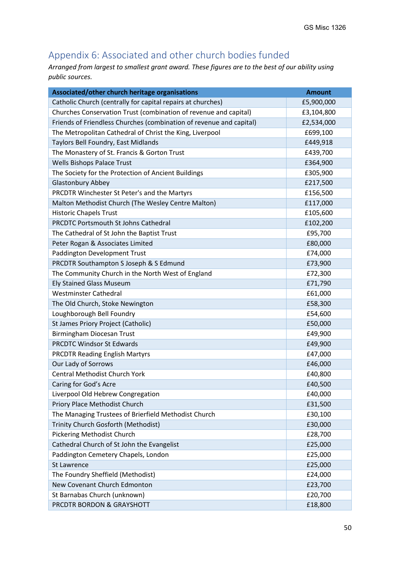## <span id="page-49-0"></span>Appendix 6: Associated and other church bodies funded

*Arranged from largest to smallest grant award. These figures are to the best of our ability using public sources.*

| Associated/other church heritage organisations                      | <b>Amount</b> |
|---------------------------------------------------------------------|---------------|
| Catholic Church (centrally for capital repairs at churches)         | £5,900,000    |
| Churches Conservation Trust (combination of revenue and capital)    | £3,104,800    |
| Friends of Friendless Churches (combination of revenue and capital) | £2,534,000    |
| The Metropolitan Cathedral of Christ the King, Liverpool            | £699,100      |
| Taylors Bell Foundry, East Midlands                                 | £449,918      |
| The Monastery of St. Francis & Gorton Trust                         | £439,700      |
| <b>Wells Bishops Palace Trust</b>                                   | £364,900      |
| The Society for the Protection of Ancient Buildings                 | £305,900      |
| <b>Glastonbury Abbey</b>                                            | £217,500      |
| PRCDTR Winchester St Peter's and the Martyrs                        | £156,500      |
| Malton Methodist Church (The Wesley Centre Malton)                  | £117,000      |
| <b>Historic Chapels Trust</b>                                       | £105,600      |
| PRCDTC Portsmouth St Johns Cathedral                                | £102,200      |
| The Cathedral of St John the Baptist Trust                          | £95,700       |
| Peter Rogan & Associates Limited                                    | £80,000       |
| Paddington Development Trust                                        | £74,000       |
| PRCDTR Southampton S Joseph & S Edmund                              | £73,900       |
| The Community Church in the North West of England                   | £72,300       |
| <b>Ely Stained Glass Museum</b>                                     | £71,790       |
| <b>Westminster Cathedral</b>                                        | £61,000       |
| The Old Church, Stoke Newington                                     | £58,300       |
| Loughborough Bell Foundry                                           | £54,600       |
| St James Priory Project (Catholic)                                  | £50,000       |
| Birmingham Diocesan Trust                                           | £49,900       |
| <b>PRCDTC Windsor St Edwards</b>                                    | £49,900       |
| <b>PRCDTR Reading English Martyrs</b>                               | £47,000       |
| Our Lady of Sorrows                                                 | £46,000       |
| <b>Central Methodist Church York</b>                                | £40,800       |
| Caring for God's Acre                                               | £40,500       |
| Liverpool Old Hebrew Congregation                                   | £40,000       |
| Priory Place Methodist Church                                       | £31,500       |
| The Managing Trustees of Brierfield Methodist Church                | £30,100       |
| Trinity Church Gosforth (Methodist)                                 | £30,000       |
| Pickering Methodist Church                                          | £28,700       |
| Cathedral Church of St John the Evangelist                          | £25,000       |
| Paddington Cemetery Chapels, London                                 | £25,000       |
| <b>St Lawrence</b>                                                  | £25,000       |
| The Foundry Sheffield (Methodist)                                   | £24,000       |
| New Covenant Church Edmonton                                        | £23,700       |
| St Barnabas Church (unknown)                                        | £20,700       |
| PRCDTR BORDON & GRAYSHOTT                                           | £18,800       |